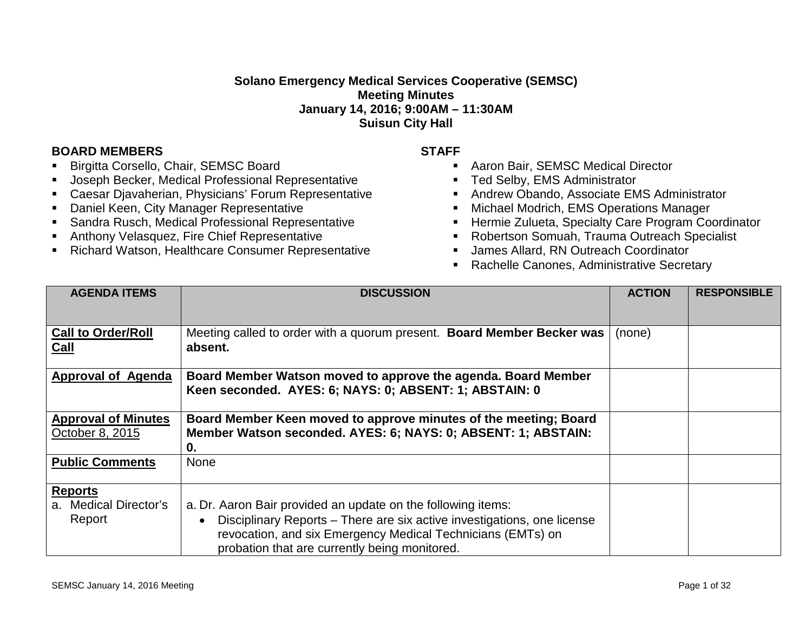## **Solano Emergency Medical Services Cooperative (SEMSC) Meeting Minutes January 14, 2016; 9:00AM – 11:30AM Suisun City Hall**

## **BOARD MEMBERS STAFF**

- Birgitta Corsello, Chair, SEMSC Board
- Joseph Becker, Medical Professional Representative
- Caesar Djavaherian, Physicians' Forum Representative
- **-** Daniel Keen, City Manager Representative
- Sandra Rusch, Medical Professional Representative
- Anthony Velasquez, Fire Chief Representative
- **Richard Watson, Healthcare Consumer Representative**

- Aaron Bair, SEMSC Medical Director
- **Ted Selby, EMS Administrator**
- **Andrew Obando, Associate EMS Administrator**
- **Michael Modrich, EMS Operations Manager**
- **Hermie Zulueta, Specialty Care Program Coordinator**
- Robertson Somuah, Trauma Outreach Specialist
- **James Allard, RN Outreach Coordinator**
- **Rachelle Canones, Administrative Secretary**

| <b>AGENDA ITEMS</b>                               | <b>DISCUSSION</b>                                                                                                                                                                                                                                       | <b>ACTION</b> | <b>RESPONSIBLE</b> |
|---------------------------------------------------|---------------------------------------------------------------------------------------------------------------------------------------------------------------------------------------------------------------------------------------------------------|---------------|--------------------|
|                                                   |                                                                                                                                                                                                                                                         |               |                    |
| <b>Call to Order/Roll</b><br><b>Call</b>          | Meeting called to order with a quorum present. Board Member Becker was<br>absent.                                                                                                                                                                       | (none)        |                    |
| <b>Approval of Agenda</b>                         | Board Member Watson moved to approve the agenda. Board Member<br>Keen seconded. AYES: 6; NAYS: 0; ABSENT: 1; ABSTAIN: 0                                                                                                                                 |               |                    |
| <b>Approval of Minutes</b><br>October 8, 2015     | Board Member Keen moved to approve minutes of the meeting; Board<br>Member Watson seconded. AYES: 6; NAYS: 0; ABSENT: 1; ABSTAIN:<br>0.                                                                                                                 |               |                    |
| <b>Public Comments</b>                            | <b>None</b>                                                                                                                                                                                                                                             |               |                    |
| <b>Reports</b><br>a. Medical Director's<br>Report | a. Dr. Aaron Bair provided an update on the following items:<br>Disciplinary Reports - There are six active investigations, one license<br>revocation, and six Emergency Medical Technicians (EMTs) on<br>probation that are currently being monitored. |               |                    |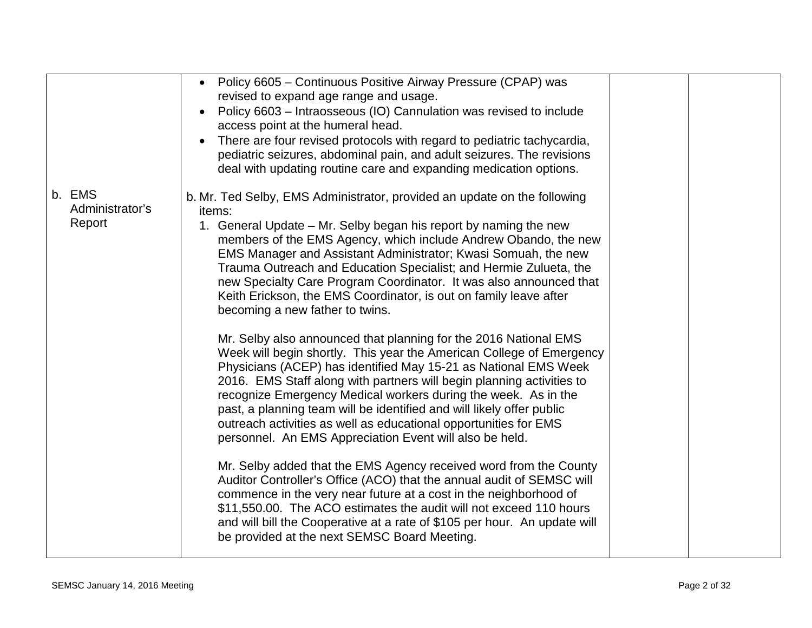|                                     | Policy 6605 - Continuous Positive Airway Pressure (CPAP) was<br>$\bullet$<br>revised to expand age range and usage.<br>Policy 6603 - Intraosseous (IO) Cannulation was revised to include<br>access point at the humeral head.<br>There are four revised protocols with regard to pediatric tachycardia,<br>pediatric seizures, abdominal pain, and adult seizures. The revisions<br>deal with updating routine care and expanding medication options.                                                                                                                                                                                                                                                                                                                                                                                                                                                                                                                                                                                                                                                                                                                                                                                                                                                                                                                                                                                                                                                                                 |  |
|-------------------------------------|----------------------------------------------------------------------------------------------------------------------------------------------------------------------------------------------------------------------------------------------------------------------------------------------------------------------------------------------------------------------------------------------------------------------------------------------------------------------------------------------------------------------------------------------------------------------------------------------------------------------------------------------------------------------------------------------------------------------------------------------------------------------------------------------------------------------------------------------------------------------------------------------------------------------------------------------------------------------------------------------------------------------------------------------------------------------------------------------------------------------------------------------------------------------------------------------------------------------------------------------------------------------------------------------------------------------------------------------------------------------------------------------------------------------------------------------------------------------------------------------------------------------------------------|--|
| b. EMS<br>Administrator's<br>Report | b. Mr. Ted Selby, EMS Administrator, provided an update on the following<br>items:<br>1. General Update – Mr. Selby began his report by naming the new<br>members of the EMS Agency, which include Andrew Obando, the new<br>EMS Manager and Assistant Administrator; Kwasi Somuah, the new<br>Trauma Outreach and Education Specialist; and Hermie Zulueta, the<br>new Specialty Care Program Coordinator. It was also announced that<br>Keith Erickson, the EMS Coordinator, is out on family leave after<br>becoming a new father to twins.<br>Mr. Selby also announced that planning for the 2016 National EMS<br>Week will begin shortly. This year the American College of Emergency<br>Physicians (ACEP) has identified May 15-21 as National EMS Week<br>2016. EMS Staff along with partners will begin planning activities to<br>recognize Emergency Medical workers during the week. As in the<br>past, a planning team will be identified and will likely offer public<br>outreach activities as well as educational opportunities for EMS<br>personnel. An EMS Appreciation Event will also be held.<br>Mr. Selby added that the EMS Agency received word from the County<br>Auditor Controller's Office (ACO) that the annual audit of SEMSC will<br>commence in the very near future at a cost in the neighborhood of<br>\$11,550.00. The ACO estimates the audit will not exceed 110 hours<br>and will bill the Cooperative at a rate of \$105 per hour. An update will<br>be provided at the next SEMSC Board Meeting. |  |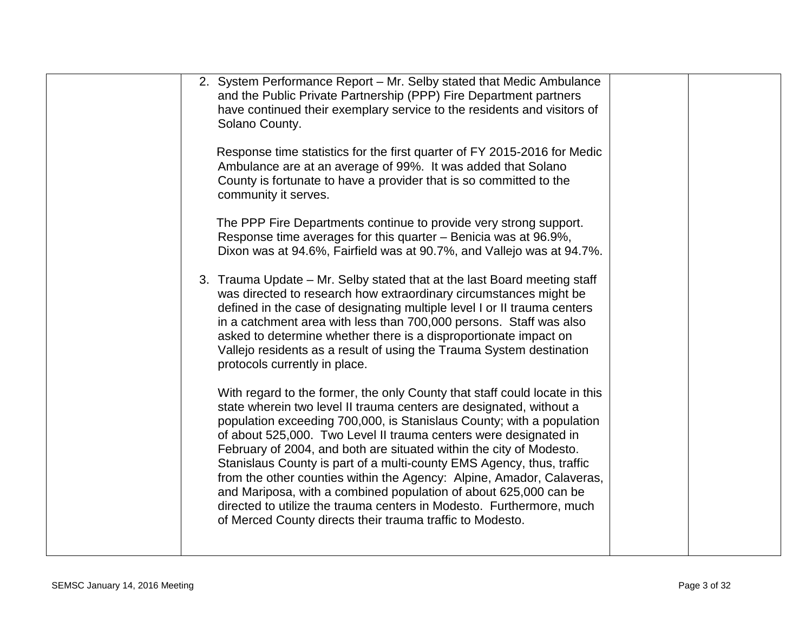| 2. System Performance Report - Mr. Selby stated that Medic Ambulance<br>and the Public Private Partnership (PPP) Fire Department partners<br>have continued their exemplary service to the residents and visitors of<br>Solano County.                                                                                                                                                                                                                                                                                                                                                                                                                                                                                           |
|----------------------------------------------------------------------------------------------------------------------------------------------------------------------------------------------------------------------------------------------------------------------------------------------------------------------------------------------------------------------------------------------------------------------------------------------------------------------------------------------------------------------------------------------------------------------------------------------------------------------------------------------------------------------------------------------------------------------------------|
| Response time statistics for the first quarter of FY 2015-2016 for Medic<br>Ambulance are at an average of 99%. It was added that Solano<br>County is fortunate to have a provider that is so committed to the<br>community it serves.                                                                                                                                                                                                                                                                                                                                                                                                                                                                                           |
| The PPP Fire Departments continue to provide very strong support.<br>Response time averages for this quarter – Benicia was at 96.9%,<br>Dixon was at 94.6%, Fairfield was at 90.7%, and Vallejo was at 94.7%.                                                                                                                                                                                                                                                                                                                                                                                                                                                                                                                    |
| 3. Trauma Update – Mr. Selby stated that at the last Board meeting staff<br>was directed to research how extraordinary circumstances might be<br>defined in the case of designating multiple level I or II trauma centers<br>in a catchment area with less than 700,000 persons. Staff was also<br>asked to determine whether there is a disproportionate impact on<br>Vallejo residents as a result of using the Trauma System destination<br>protocols currently in place.                                                                                                                                                                                                                                                     |
| With regard to the former, the only County that staff could locate in this<br>state wherein two level II trauma centers are designated, without a<br>population exceeding 700,000, is Stanislaus County; with a population<br>of about 525,000. Two Level II trauma centers were designated in<br>February of 2004, and both are situated within the city of Modesto.<br>Stanislaus County is part of a multi-county EMS Agency, thus, traffic<br>from the other counties within the Agency: Alpine, Amador, Calaveras,<br>and Mariposa, with a combined population of about 625,000 can be<br>directed to utilize the trauma centers in Modesto. Furthermore, much<br>of Merced County directs their trauma traffic to Modesto. |
|                                                                                                                                                                                                                                                                                                                                                                                                                                                                                                                                                                                                                                                                                                                                  |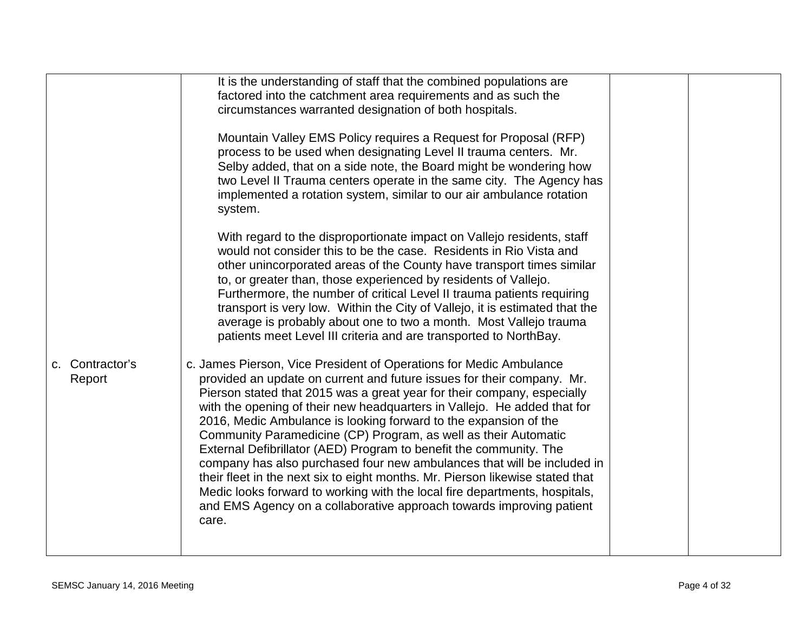|                           | It is the understanding of staff that the combined populations are<br>factored into the catchment area requirements and as such the<br>circumstances warranted designation of both hospitals.                                                                                                                                                                                                                                                                                                                                                                                                                                                                                                                                                                                                                                               |  |
|---------------------------|---------------------------------------------------------------------------------------------------------------------------------------------------------------------------------------------------------------------------------------------------------------------------------------------------------------------------------------------------------------------------------------------------------------------------------------------------------------------------------------------------------------------------------------------------------------------------------------------------------------------------------------------------------------------------------------------------------------------------------------------------------------------------------------------------------------------------------------------|--|
|                           | Mountain Valley EMS Policy requires a Request for Proposal (RFP)<br>process to be used when designating Level II trauma centers. Mr.<br>Selby added, that on a side note, the Board might be wondering how<br>two Level II Trauma centers operate in the same city. The Agency has<br>implemented a rotation system, similar to our air ambulance rotation<br>system.                                                                                                                                                                                                                                                                                                                                                                                                                                                                       |  |
|                           | With regard to the disproportionate impact on Vallejo residents, staff<br>would not consider this to be the case. Residents in Rio Vista and<br>other unincorporated areas of the County have transport times similar<br>to, or greater than, those experienced by residents of Vallejo.<br>Furthermore, the number of critical Level II trauma patients requiring<br>transport is very low. Within the City of Vallejo, it is estimated that the<br>average is probably about one to two a month. Most Vallejo trauma<br>patients meet Level III criteria and are transported to NorthBay.                                                                                                                                                                                                                                                 |  |
| c. Contractor's<br>Report | c. James Pierson, Vice President of Operations for Medic Ambulance<br>provided an update on current and future issues for their company. Mr.<br>Pierson stated that 2015 was a great year for their company, especially<br>with the opening of their new headquarters in Vallejo. He added that for<br>2016, Medic Ambulance is looking forward to the expansion of the<br>Community Paramedicine (CP) Program, as well as their Automatic<br>External Defibrillator (AED) Program to benefit the community. The<br>company has also purchased four new ambulances that will be included in<br>their fleet in the next six to eight months. Mr. Pierson likewise stated that<br>Medic looks forward to working with the local fire departments, hospitals,<br>and EMS Agency on a collaborative approach towards improving patient<br>care. |  |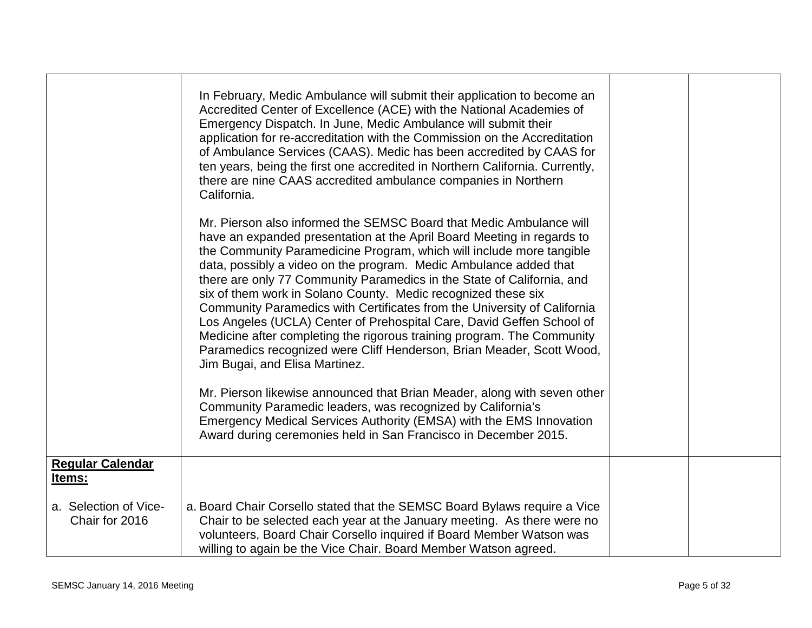|                                         | In February, Medic Ambulance will submit their application to become an<br>Accredited Center of Excellence (ACE) with the National Academies of<br>Emergency Dispatch. In June, Medic Ambulance will submit their<br>application for re-accreditation with the Commission on the Accreditation<br>of Ambulance Services (CAAS). Medic has been accredited by CAAS for<br>ten years, being the first one accredited in Northern California. Currently,<br>there are nine CAAS accredited ambulance companies in Northern<br>California.                                                                                                                                                                                                                                          |  |
|-----------------------------------------|---------------------------------------------------------------------------------------------------------------------------------------------------------------------------------------------------------------------------------------------------------------------------------------------------------------------------------------------------------------------------------------------------------------------------------------------------------------------------------------------------------------------------------------------------------------------------------------------------------------------------------------------------------------------------------------------------------------------------------------------------------------------------------|--|
|                                         | Mr. Pierson also informed the SEMSC Board that Medic Ambulance will<br>have an expanded presentation at the April Board Meeting in regards to<br>the Community Paramedicine Program, which will include more tangible<br>data, possibly a video on the program. Medic Ambulance added that<br>there are only 77 Community Paramedics in the State of California, and<br>six of them work in Solano County. Medic recognized these six<br>Community Paramedics with Certificates from the University of California<br>Los Angeles (UCLA) Center of Prehospital Care, David Geffen School of<br>Medicine after completing the rigorous training program. The Community<br>Paramedics recognized were Cliff Henderson, Brian Meader, Scott Wood,<br>Jim Bugai, and Elisa Martinez. |  |
|                                         | Mr. Pierson likewise announced that Brian Meader, along with seven other<br>Community Paramedic leaders, was recognized by California's<br>Emergency Medical Services Authority (EMSA) with the EMS Innovation<br>Award during ceremonies held in San Francisco in December 2015.                                                                                                                                                                                                                                                                                                                                                                                                                                                                                               |  |
| <b>Regular Calendar</b><br>Items:       |                                                                                                                                                                                                                                                                                                                                                                                                                                                                                                                                                                                                                                                                                                                                                                                 |  |
| a. Selection of Vice-<br>Chair for 2016 | a. Board Chair Corsello stated that the SEMSC Board Bylaws require a Vice<br>Chair to be selected each year at the January meeting. As there were no<br>volunteers, Board Chair Corsello inquired if Board Member Watson was<br>willing to again be the Vice Chair. Board Member Watson agreed.                                                                                                                                                                                                                                                                                                                                                                                                                                                                                 |  |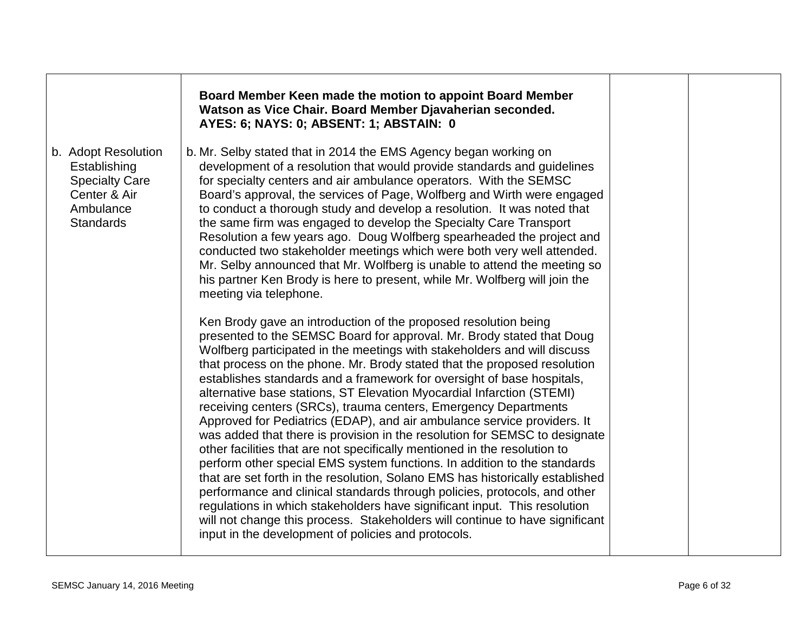|                                                                                                               | Board Member Keen made the motion to appoint Board Member<br>Watson as Vice Chair. Board Member Djavaherian seconded.<br>AYES: 6; NAYS: 0; ABSENT: 1; ABSTAIN: 0                                                                                                                                                                                                                                                                                                                                                                                                                                                                                                                                                                                                                                                                                                                                                                                                                                                                                                                                                                                                                                                           |  |
|---------------------------------------------------------------------------------------------------------------|----------------------------------------------------------------------------------------------------------------------------------------------------------------------------------------------------------------------------------------------------------------------------------------------------------------------------------------------------------------------------------------------------------------------------------------------------------------------------------------------------------------------------------------------------------------------------------------------------------------------------------------------------------------------------------------------------------------------------------------------------------------------------------------------------------------------------------------------------------------------------------------------------------------------------------------------------------------------------------------------------------------------------------------------------------------------------------------------------------------------------------------------------------------------------------------------------------------------------|--|
| b. Adopt Resolution<br>Establishing<br><b>Specialty Care</b><br>Center & Air<br>Ambulance<br><b>Standards</b> | b. Mr. Selby stated that in 2014 the EMS Agency began working on<br>development of a resolution that would provide standards and guidelines<br>for specialty centers and air ambulance operators. With the SEMSC<br>Board's approval, the services of Page, Wolfberg and Wirth were engaged<br>to conduct a thorough study and develop a resolution. It was noted that<br>the same firm was engaged to develop the Specialty Care Transport<br>Resolution a few years ago. Doug Wolfberg spearheaded the project and<br>conducted two stakeholder meetings which were both very well attended.<br>Mr. Selby announced that Mr. Wolfberg is unable to attend the meeting so<br>his partner Ken Brody is here to present, while Mr. Wolfberg will join the<br>meeting via telephone.                                                                                                                                                                                                                                                                                                                                                                                                                                         |  |
|                                                                                                               | Ken Brody gave an introduction of the proposed resolution being<br>presented to the SEMSC Board for approval. Mr. Brody stated that Doug<br>Wolfberg participated in the meetings with stakeholders and will discuss<br>that process on the phone. Mr. Brody stated that the proposed resolution<br>establishes standards and a framework for oversight of base hospitals,<br>alternative base stations, ST Elevation Myocardial Infarction (STEMI)<br>receiving centers (SRCs), trauma centers, Emergency Departments<br>Approved for Pediatrics (EDAP), and air ambulance service providers. It<br>was added that there is provision in the resolution for SEMSC to designate<br>other facilities that are not specifically mentioned in the resolution to<br>perform other special EMS system functions. In addition to the standards<br>that are set forth in the resolution, Solano EMS has historically established<br>performance and clinical standards through policies, protocols, and other<br>regulations in which stakeholders have significant input. This resolution<br>will not change this process. Stakeholders will continue to have significant<br>input in the development of policies and protocols. |  |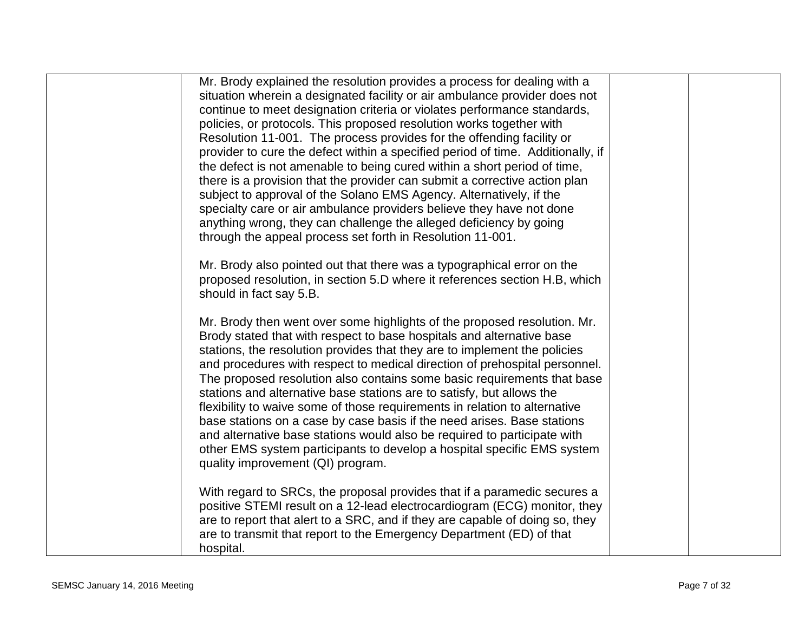| Mr. Brody explained the resolution provides a process for dealing with a<br>situation wherein a designated facility or air ambulance provider does not<br>continue to meet designation criteria or violates performance standards,<br>policies, or protocols. This proposed resolution works together with<br>Resolution 11-001. The process provides for the offending facility or<br>provider to cure the defect within a specified period of time. Additionally, if<br>the defect is not amenable to being cured within a short period of time,<br>there is a provision that the provider can submit a corrective action plan                                                                                                                                                                                      |  |
|-----------------------------------------------------------------------------------------------------------------------------------------------------------------------------------------------------------------------------------------------------------------------------------------------------------------------------------------------------------------------------------------------------------------------------------------------------------------------------------------------------------------------------------------------------------------------------------------------------------------------------------------------------------------------------------------------------------------------------------------------------------------------------------------------------------------------|--|
| subject to approval of the Solano EMS Agency. Alternatively, if the<br>specialty care or air ambulance providers believe they have not done<br>anything wrong, they can challenge the alleged deficiency by going<br>through the appeal process set forth in Resolution 11-001.                                                                                                                                                                                                                                                                                                                                                                                                                                                                                                                                       |  |
| Mr. Brody also pointed out that there was a typographical error on the<br>proposed resolution, in section 5.D where it references section H.B, which<br>should in fact say 5.B.                                                                                                                                                                                                                                                                                                                                                                                                                                                                                                                                                                                                                                       |  |
| Mr. Brody then went over some highlights of the proposed resolution. Mr.<br>Brody stated that with respect to base hospitals and alternative base<br>stations, the resolution provides that they are to implement the policies<br>and procedures with respect to medical direction of prehospital personnel.<br>The proposed resolution also contains some basic requirements that base<br>stations and alternative base stations are to satisfy, but allows the<br>flexibility to waive some of those requirements in relation to alternative<br>base stations on a case by case basis if the need arises. Base stations<br>and alternative base stations would also be required to participate with<br>other EMS system participants to develop a hospital specific EMS system<br>quality improvement (QI) program. |  |
| With regard to SRCs, the proposal provides that if a paramedic secures a<br>positive STEMI result on a 12-lead electrocardiogram (ECG) monitor, they<br>are to report that alert to a SRC, and if they are capable of doing so, they<br>are to transmit that report to the Emergency Department (ED) of that<br>hospital.                                                                                                                                                                                                                                                                                                                                                                                                                                                                                             |  |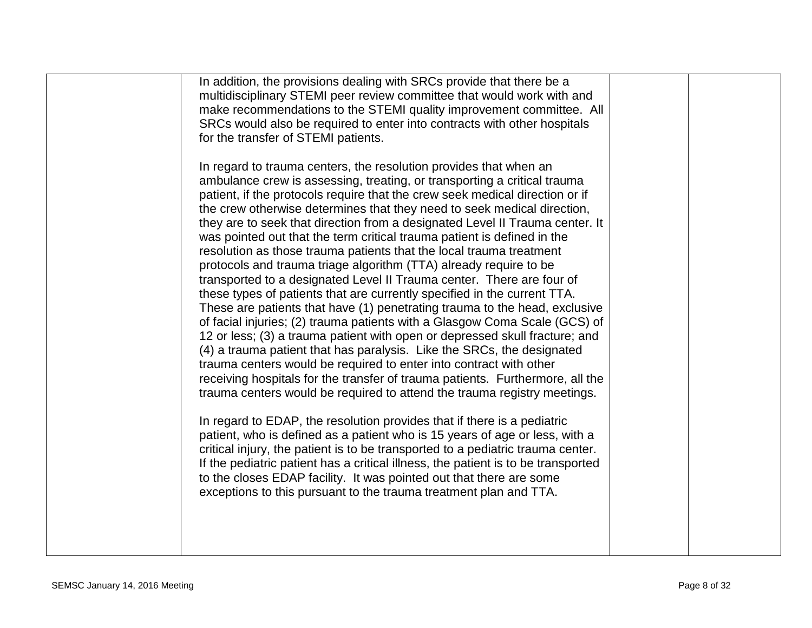|  | In addition, the provisions dealing with SRCs provide that there be a<br>multidisciplinary STEMI peer review committee that would work with and<br>make recommendations to the STEMI quality improvement committee. All<br>SRCs would also be required to enter into contracts with other hospitals<br>for the transfer of STEMI patients.<br>In regard to trauma centers, the resolution provides that when an<br>ambulance crew is assessing, treating, or transporting a critical trauma                                                                                                                         |  |  |
|--|---------------------------------------------------------------------------------------------------------------------------------------------------------------------------------------------------------------------------------------------------------------------------------------------------------------------------------------------------------------------------------------------------------------------------------------------------------------------------------------------------------------------------------------------------------------------------------------------------------------------|--|--|
|  | patient, if the protocols require that the crew seek medical direction or if<br>the crew otherwise determines that they need to seek medical direction,<br>they are to seek that direction from a designated Level II Trauma center. It<br>was pointed out that the term critical trauma patient is defined in the<br>resolution as those trauma patients that the local trauma treatment<br>protocols and trauma triage algorithm (TTA) already require to be<br>transported to a designated Level II Trauma center. There are four of<br>these types of patients that are currently specified in the current TTA. |  |  |
|  | These are patients that have (1) penetrating trauma to the head, exclusive<br>of facial injuries; (2) trauma patients with a Glasgow Coma Scale (GCS) of<br>12 or less; (3) a trauma patient with open or depressed skull fracture; and<br>(4) a trauma patient that has paralysis. Like the SRCs, the designated<br>trauma centers would be required to enter into contract with other<br>receiving hospitals for the transfer of trauma patients. Furthermore, all the<br>trauma centers would be required to attend the trauma registry meetings.                                                                |  |  |
|  | In regard to EDAP, the resolution provides that if there is a pediatric<br>patient, who is defined as a patient who is 15 years of age or less, with a<br>critical injury, the patient is to be transported to a pediatric trauma center.<br>If the pediatric patient has a critical illness, the patient is to be transported<br>to the closes EDAP facility. It was pointed out that there are some<br>exceptions to this pursuant to the trauma treatment plan and TTA.                                                                                                                                          |  |  |
|  |                                                                                                                                                                                                                                                                                                                                                                                                                                                                                                                                                                                                                     |  |  |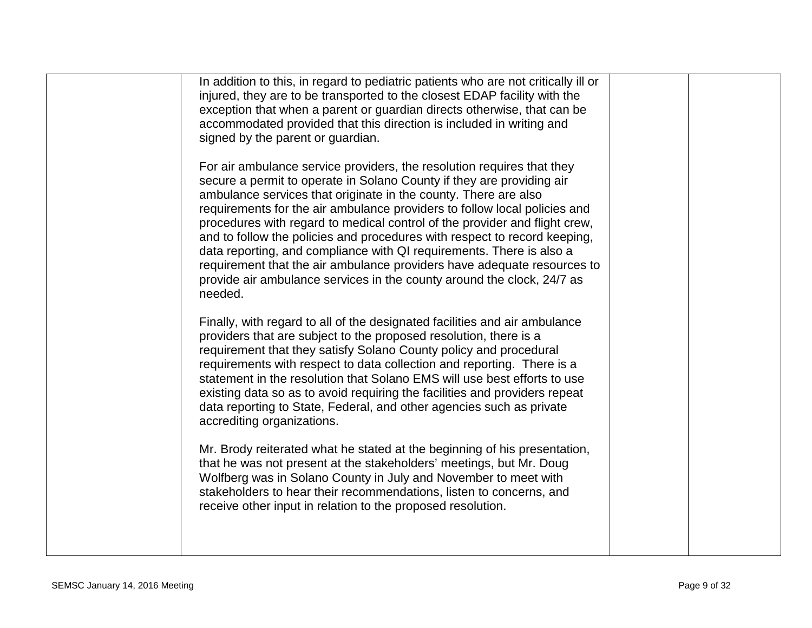| In addition to this, in regard to pediatric patients who are not critically ill or<br>injured, they are to be transported to the closest EDAP facility with the<br>exception that when a parent or guardian directs otherwise, that can be<br>accommodated provided that this direction is included in writing and<br>signed by the parent or guardian.                                                                                                                                                                                                                                                                                                                                            |  |
|----------------------------------------------------------------------------------------------------------------------------------------------------------------------------------------------------------------------------------------------------------------------------------------------------------------------------------------------------------------------------------------------------------------------------------------------------------------------------------------------------------------------------------------------------------------------------------------------------------------------------------------------------------------------------------------------------|--|
| For air ambulance service providers, the resolution requires that they<br>secure a permit to operate in Solano County if they are providing air<br>ambulance services that originate in the county. There are also<br>requirements for the air ambulance providers to follow local policies and<br>procedures with regard to medical control of the provider and flight crew,<br>and to follow the policies and procedures with respect to record keeping,<br>data reporting, and compliance with QI requirements. There is also a<br>requirement that the air ambulance providers have adequate resources to<br>provide air ambulance services in the county around the clock, 24/7 as<br>needed. |  |
| Finally, with regard to all of the designated facilities and air ambulance<br>providers that are subject to the proposed resolution, there is a<br>requirement that they satisfy Solano County policy and procedural<br>requirements with respect to data collection and reporting. There is a<br>statement in the resolution that Solano EMS will use best efforts to use<br>existing data so as to avoid requiring the facilities and providers repeat<br>data reporting to State, Federal, and other agencies such as private<br>accrediting organizations.                                                                                                                                     |  |
| Mr. Brody reiterated what he stated at the beginning of his presentation,<br>that he was not present at the stakeholders' meetings, but Mr. Doug<br>Wolfberg was in Solano County in July and November to meet with<br>stakeholders to hear their recommendations, listen to concerns, and<br>receive other input in relation to the proposed resolution.                                                                                                                                                                                                                                                                                                                                          |  |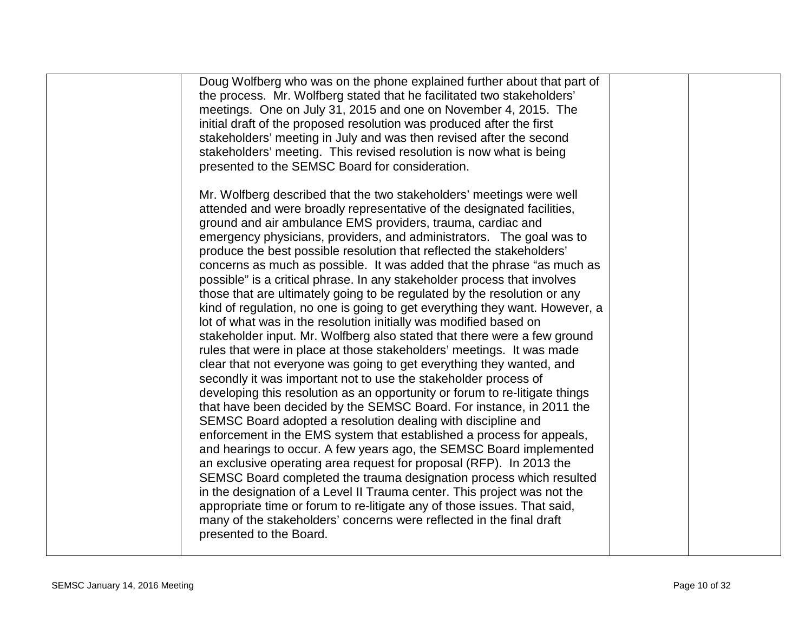| Doug Wolfberg who was on the phone explained further about that part of<br>the process. Mr. Wolfberg stated that he facilitated two stakeholders'<br>meetings. One on July 31, 2015 and one on November 4, 2015. The<br>initial draft of the proposed resolution was produced after the first<br>stakeholders' meeting in July and was then revised after the second<br>stakeholders' meeting. This revised resolution is now what is being<br>presented to the SEMSC Board for consideration.                                                                                                                                                                                                                                                                                                                                                                                                                                                                                                                                                                                                                                                                                                                                                                                                                                                                                                                                                                                                                                                                                                                                                                                                                                                                                                                                       |  |
|--------------------------------------------------------------------------------------------------------------------------------------------------------------------------------------------------------------------------------------------------------------------------------------------------------------------------------------------------------------------------------------------------------------------------------------------------------------------------------------------------------------------------------------------------------------------------------------------------------------------------------------------------------------------------------------------------------------------------------------------------------------------------------------------------------------------------------------------------------------------------------------------------------------------------------------------------------------------------------------------------------------------------------------------------------------------------------------------------------------------------------------------------------------------------------------------------------------------------------------------------------------------------------------------------------------------------------------------------------------------------------------------------------------------------------------------------------------------------------------------------------------------------------------------------------------------------------------------------------------------------------------------------------------------------------------------------------------------------------------------------------------------------------------------------------------------------------------|--|
| Mr. Wolfberg described that the two stakeholders' meetings were well<br>attended and were broadly representative of the designated facilities,<br>ground and air ambulance EMS providers, trauma, cardiac and<br>emergency physicians, providers, and administrators. The goal was to<br>produce the best possible resolution that reflected the stakeholders'<br>concerns as much as possible. It was added that the phrase "as much as<br>possible" is a critical phrase. In any stakeholder process that involves<br>those that are ultimately going to be regulated by the resolution or any<br>kind of regulation, no one is going to get everything they want. However, a<br>lot of what was in the resolution initially was modified based on<br>stakeholder input. Mr. Wolfberg also stated that there were a few ground<br>rules that were in place at those stakeholders' meetings. It was made<br>clear that not everyone was going to get everything they wanted, and<br>secondly it was important not to use the stakeholder process of<br>developing this resolution as an opportunity or forum to re-litigate things<br>that have been decided by the SEMSC Board. For instance, in 2011 the<br>SEMSC Board adopted a resolution dealing with discipline and<br>enforcement in the EMS system that established a process for appeals,<br>and hearings to occur. A few years ago, the SEMSC Board implemented<br>an exclusive operating area request for proposal (RFP). In 2013 the<br>SEMSC Board completed the trauma designation process which resulted<br>in the designation of a Level II Trauma center. This project was not the<br>appropriate time or forum to re-litigate any of those issues. That said,<br>many of the stakeholders' concerns were reflected in the final draft<br>presented to the Board. |  |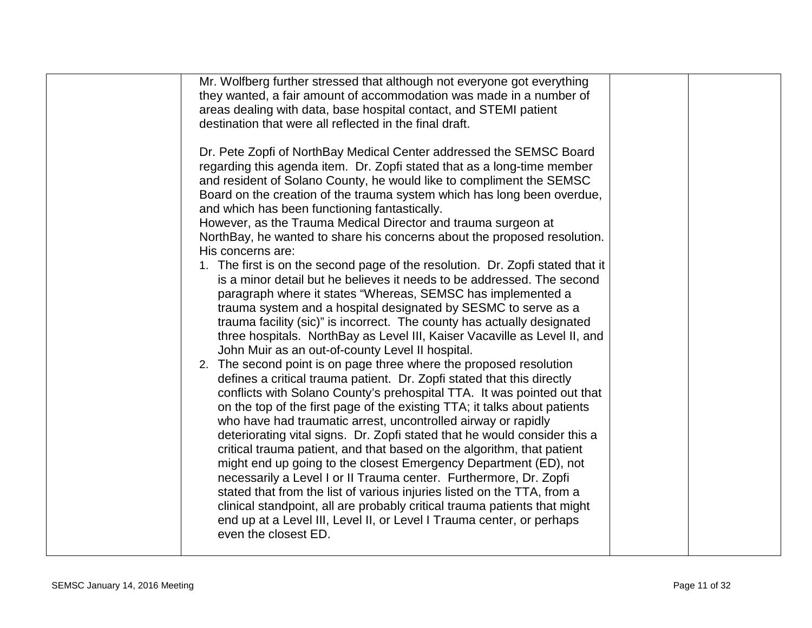| Mr. Wolfberg further stressed that although not everyone got everything<br>they wanted, a fair amount of accommodation was made in a number of<br>areas dealing with data, base hospital contact, and STEMI patient<br>destination that were all reflected in the final draft.                                                                                                                                                                                                                                                                                                                                                                                                                                                                                                                                                                                                                                                                                                                                                                                                                                                                                                                                                                                                                                                                                                                                                                                                                                                                                                                                                                                                                                                                                                                                                                                                                                                          |  |
|-----------------------------------------------------------------------------------------------------------------------------------------------------------------------------------------------------------------------------------------------------------------------------------------------------------------------------------------------------------------------------------------------------------------------------------------------------------------------------------------------------------------------------------------------------------------------------------------------------------------------------------------------------------------------------------------------------------------------------------------------------------------------------------------------------------------------------------------------------------------------------------------------------------------------------------------------------------------------------------------------------------------------------------------------------------------------------------------------------------------------------------------------------------------------------------------------------------------------------------------------------------------------------------------------------------------------------------------------------------------------------------------------------------------------------------------------------------------------------------------------------------------------------------------------------------------------------------------------------------------------------------------------------------------------------------------------------------------------------------------------------------------------------------------------------------------------------------------------------------------------------------------------------------------------------------------|--|
| Dr. Pete Zopfi of NorthBay Medical Center addressed the SEMSC Board<br>regarding this agenda item. Dr. Zopfi stated that as a long-time member<br>and resident of Solano County, he would like to compliment the SEMSC<br>Board on the creation of the trauma system which has long been overdue,<br>and which has been functioning fantastically.<br>However, as the Trauma Medical Director and trauma surgeon at<br>NorthBay, he wanted to share his concerns about the proposed resolution.<br>His concerns are:<br>1. The first is on the second page of the resolution. Dr. Zopfi stated that it<br>is a minor detail but he believes it needs to be addressed. The second<br>paragraph where it states "Whereas, SEMSC has implemented a<br>trauma system and a hospital designated by SESMC to serve as a<br>trauma facility (sic)" is incorrect. The county has actually designated<br>three hospitals. NorthBay as Level III, Kaiser Vacaville as Level II, and<br>John Muir as an out-of-county Level II hospital.<br>2. The second point is on page three where the proposed resolution<br>defines a critical trauma patient. Dr. Zopfi stated that this directly<br>conflicts with Solano County's prehospital TTA. It was pointed out that<br>on the top of the first page of the existing TTA; it talks about patients<br>who have had traumatic arrest, uncontrolled airway or rapidly<br>deteriorating vital signs. Dr. Zopfi stated that he would consider this a<br>critical trauma patient, and that based on the algorithm, that patient<br>might end up going to the closest Emergency Department (ED), not<br>necessarily a Level I or II Trauma center. Furthermore, Dr. Zopfi<br>stated that from the list of various injuries listed on the TTA, from a<br>clinical standpoint, all are probably critical trauma patients that might<br>end up at a Level III, Level II, or Level I Trauma center, or perhaps |  |
| even the closest ED.                                                                                                                                                                                                                                                                                                                                                                                                                                                                                                                                                                                                                                                                                                                                                                                                                                                                                                                                                                                                                                                                                                                                                                                                                                                                                                                                                                                                                                                                                                                                                                                                                                                                                                                                                                                                                                                                                                                    |  |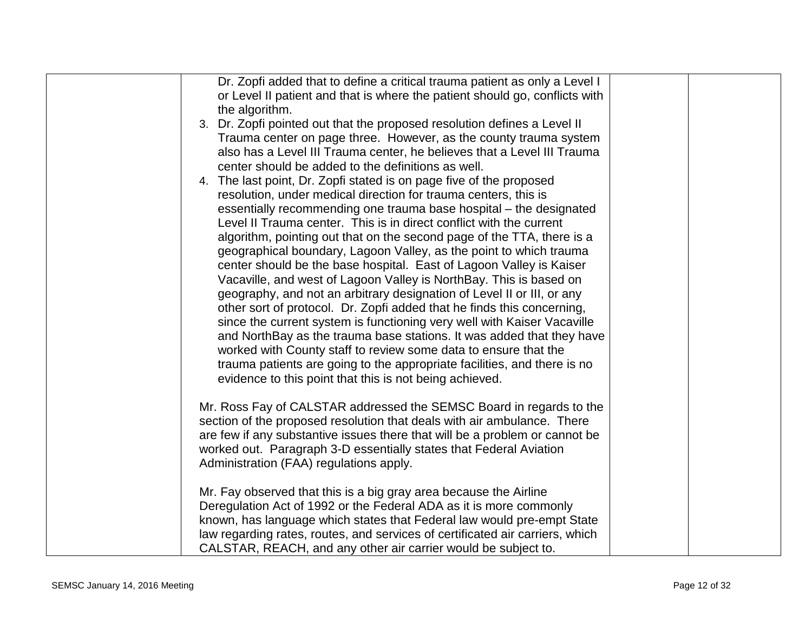| Dr. Zopfi added that to define a critical trauma patient as only a Level I    |  |
|-------------------------------------------------------------------------------|--|
| or Level II patient and that is where the patient should go, conflicts with   |  |
| the algorithm.                                                                |  |
| 3. Dr. Zopfi pointed out that the proposed resolution defines a Level II      |  |
| Trauma center on page three. However, as the county trauma system             |  |
| also has a Level III Trauma center, he believes that a Level III Trauma       |  |
| center should be added to the definitions as well.                            |  |
| 4. The last point, Dr. Zopfi stated is on page five of the proposed           |  |
| resolution, under medical direction for trauma centers, this is               |  |
| essentially recommending one trauma base hospital – the designated            |  |
| Level II Trauma center. This is in direct conflict with the current           |  |
| algorithm, pointing out that on the second page of the TTA, there is a        |  |
| geographical boundary, Lagoon Valley, as the point to which trauma            |  |
| center should be the base hospital. East of Lagoon Valley is Kaiser           |  |
| Vacaville, and west of Lagoon Valley is NorthBay. This is based on            |  |
| geography, and not an arbitrary designation of Level II or III, or any        |  |
| other sort of protocol. Dr. Zopfi added that he finds this concerning,        |  |
| since the current system is functioning very well with Kaiser Vacaville       |  |
| and NorthBay as the trauma base stations. It was added that they have         |  |
| worked with County staff to review some data to ensure that the               |  |
| trauma patients are going to the appropriate facilities, and there is no      |  |
| evidence to this point that this is not being achieved.                       |  |
|                                                                               |  |
| Mr. Ross Fay of CALSTAR addressed the SEMSC Board in regards to the           |  |
| section of the proposed resolution that deals with air ambulance. There       |  |
| are few if any substantive issues there that will be a problem or cannot be   |  |
| worked out. Paragraph 3-D essentially states that Federal Aviation            |  |
| Administration (FAA) regulations apply.                                       |  |
|                                                                               |  |
| Mr. Fay observed that this is a big gray area because the Airline             |  |
| Deregulation Act of 1992 or the Federal ADA as it is more commonly            |  |
| known, has language which states that Federal law would pre-empt State        |  |
| law regarding rates, routes, and services of certificated air carriers, which |  |
| CALSTAR, REACH, and any other air carrier would be subject to.                |  |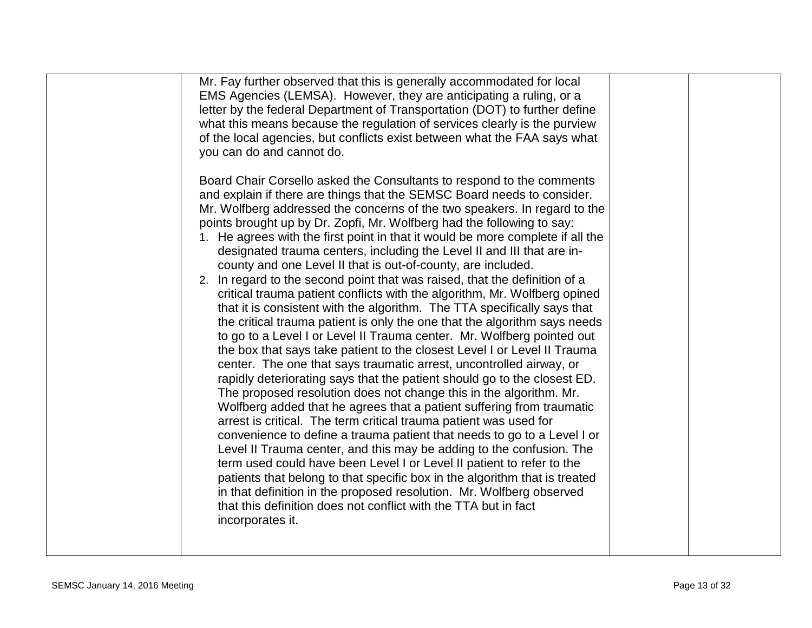| Mr. Fay further observed that this is generally accommodated for local<br>EMS Agencies (LEMSA). However, they are anticipating a ruling, or a<br>letter by the federal Department of Transportation (DOT) to further define<br>what this means because the regulation of services clearly is the purview<br>of the local agencies, but conflicts exist between what the FAA says what<br>you can do and cannot do.                                                                                                                                                                                                                                                                                                                                                                                                                                                                                                                                                                                                                                                                                                                                                                                                                                                                                                                                                                                                                                                                                                                                                                                               |  |
|------------------------------------------------------------------------------------------------------------------------------------------------------------------------------------------------------------------------------------------------------------------------------------------------------------------------------------------------------------------------------------------------------------------------------------------------------------------------------------------------------------------------------------------------------------------------------------------------------------------------------------------------------------------------------------------------------------------------------------------------------------------------------------------------------------------------------------------------------------------------------------------------------------------------------------------------------------------------------------------------------------------------------------------------------------------------------------------------------------------------------------------------------------------------------------------------------------------------------------------------------------------------------------------------------------------------------------------------------------------------------------------------------------------------------------------------------------------------------------------------------------------------------------------------------------------------------------------------------------------|--|
| Board Chair Corsello asked the Consultants to respond to the comments<br>and explain if there are things that the SEMSC Board needs to consider.<br>Mr. Wolfberg addressed the concerns of the two speakers. In regard to the<br>points brought up by Dr. Zopfi, Mr. Wolfberg had the following to say:<br>1. He agrees with the first point in that it would be more complete if all the<br>designated trauma centers, including the Level II and III that are in-<br>county and one Level II that is out-of-county, are included.<br>2. In regard to the second point that was raised, that the definition of a<br>critical trauma patient conflicts with the algorithm, Mr. Wolfberg opined<br>that it is consistent with the algorithm. The TTA specifically says that<br>the critical trauma patient is only the one that the algorithm says needs<br>to go to a Level I or Level II Trauma center. Mr. Wolfberg pointed out<br>the box that says take patient to the closest Level I or Level II Trauma<br>center. The one that says traumatic arrest, uncontrolled airway, or<br>rapidly deteriorating says that the patient should go to the closest ED.<br>The proposed resolution does not change this in the algorithm. Mr.<br>Wolfberg added that he agrees that a patient suffering from traumatic<br>arrest is critical. The term critical trauma patient was used for<br>convenience to define a trauma patient that needs to go to a Level I or<br>Level II Trauma center, and this may be adding to the confusion. The<br>term used could have been Level I or Level II patient to refer to the |  |
| patients that belong to that specific box in the algorithm that is treated<br>in that definition in the proposed resolution. Mr. Wolfberg observed<br>that this definition does not conflict with the TTA but in fact<br>incorporates it.                                                                                                                                                                                                                                                                                                                                                                                                                                                                                                                                                                                                                                                                                                                                                                                                                                                                                                                                                                                                                                                                                                                                                                                                                                                                                                                                                                        |  |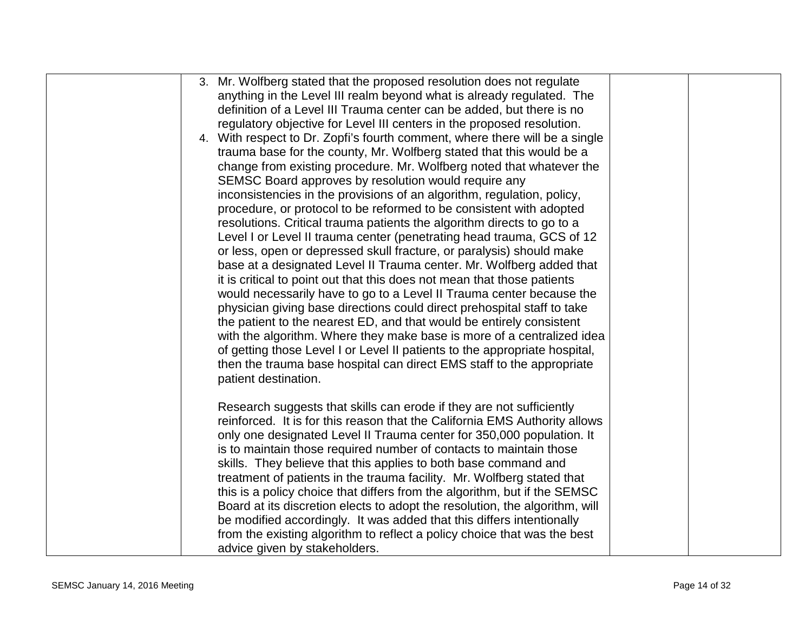| 3. Mr. Wolfberg stated that the proposed resolution does not regulate       |
|-----------------------------------------------------------------------------|
| anything in the Level III realm beyond what is already regulated. The       |
| definition of a Level III Trauma center can be added, but there is no       |
| regulatory objective for Level III centers in the proposed resolution.      |
| 4. With respect to Dr. Zopfi's fourth comment, where there will be a single |
| trauma base for the county, Mr. Wolfberg stated that this would be a        |
| change from existing procedure. Mr. Wolfberg noted that whatever the        |
| SEMSC Board approves by resolution would require any                        |
| inconsistencies in the provisions of an algorithm, regulation, policy,      |
| procedure, or protocol to be reformed to be consistent with adopted         |
| resolutions. Critical trauma patients the algorithm directs to go to a      |
| Level I or Level II trauma center (penetrating head trauma, GCS of 12       |
| or less, open or depressed skull fracture, or paralysis) should make        |
| base at a designated Level II Trauma center. Mr. Wolfberg added that        |
| it is critical to point out that this does not mean that those patients     |
| would necessarily have to go to a Level II Trauma center because the        |
| physician giving base directions could direct prehospital staff to take     |
| the patient to the nearest ED, and that would be entirely consistent        |
| with the algorithm. Where they make base is more of a centralized idea      |
| of getting those Level I or Level II patients to the appropriate hospital,  |
| then the trauma base hospital can direct EMS staff to the appropriate       |
| patient destination.                                                        |
|                                                                             |
| Research suggests that skills can erode if they are not sufficiently        |
| reinforced. It is for this reason that the California EMS Authority allows  |
| only one designated Level II Trauma center for 350,000 population. It       |
| is to maintain those required number of contacts to maintain those          |
| skills. They believe that this applies to both base command and             |
| treatment of patients in the trauma facility. Mr. Wolfberg stated that      |
| this is a policy choice that differs from the algorithm, but if the SEMSC   |
| Board at its discretion elects to adopt the resolution, the algorithm, will |
| be modified accordingly. It was added that this differs intentionally       |
| from the existing algorithm to reflect a policy choice that was the best    |
| advice given by stakeholders.                                               |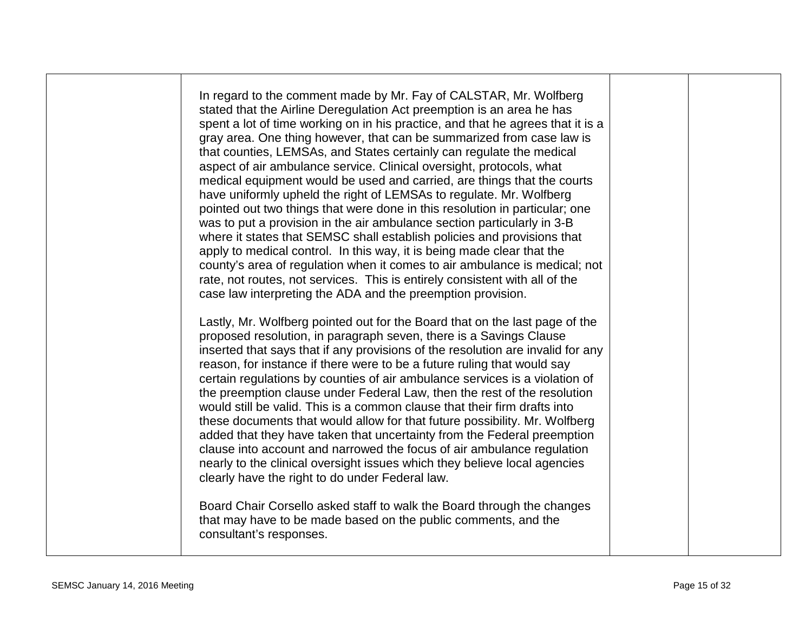In regard to the comment made by Mr. Fay of CALSTAR, Mr. Wolfberg stated that the Airline Deregulation Act preemption is an area he has spent a lot of time working on in his practice, and that he agrees that it is a gray area. One thing however, that can be summarized from case law is that counties, LEMSAs, and States certainly can regulate the medical aspect of air ambulance service. Clinical oversight, protocols, what medical equipment would be used and carried, are things that the courts have uniformly upheld the right of LEMSAs to regulate. Mr. Wolfberg pointed out two things that were done in this resolution in particular; one was to put a provision in the air ambulance section particularly in 3-B where it states that SEMSC shall establish policies and provisions that apply to medical control. In this way, it is being made clear that the county's area of regulation when it comes to air ambulance is medical; not rate, not routes, not services. This is entirely consistent with all of the case law interpreting the ADA and the preemption provision. Lastly, Mr. Wolfberg pointed out for the Board that on the last page of the proposed resolution, in paragraph seven, there is a Savings Clause inserted that says that if any provisions of the resolution are invalid for any reason, for instance if there were to be a future ruling that would say certain regulations by counties of air ambulance services is a violation of

the preemption clause under Federal Law, then the rest of the resolution would still be valid. This is a common clause that their firm drafts into these documents that would allow for that future possibility. Mr. Wolfberg added that they have taken that uncertainty from the Federal preemption clause into account and narrowed the focus of air ambulance regulation nearly to the clinical oversight issues which they believe local agencies clearly have the right to do under Federal law.

Board Chair Corsello asked staff to walk the Board through the changes that may have to be made based on the public comments, and the consultant's responses.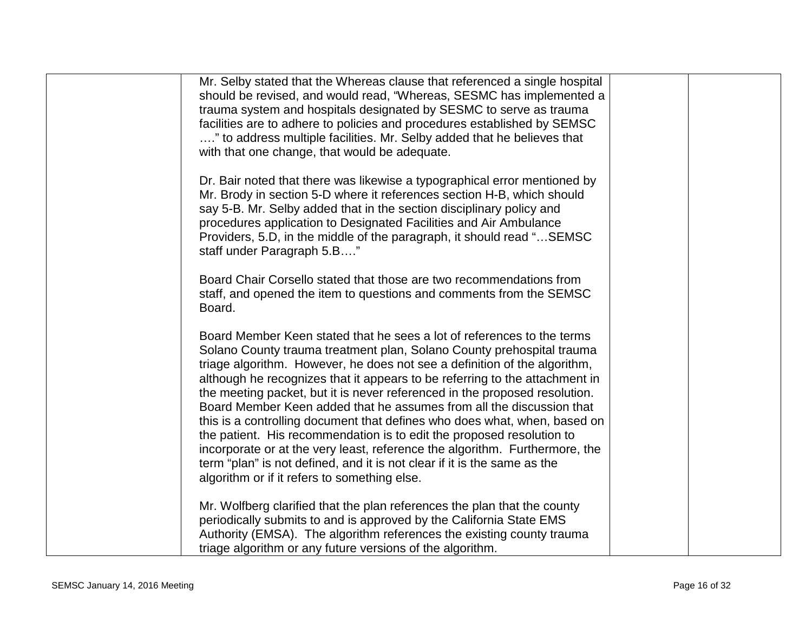| Mr. Selby stated that the Whereas clause that referenced a single hospital<br>should be revised, and would read, "Whereas, SESMC has implemented a<br>trauma system and hospitals designated by SESMC to serve as trauma<br>facilities are to adhere to policies and procedures established by SEMSC<br>" to address multiple facilities. Mr. Selby added that he believes that<br>with that one change, that would be adequate.                                                                                                                                                                                                                                                                                                                                                                                                   |  |
|------------------------------------------------------------------------------------------------------------------------------------------------------------------------------------------------------------------------------------------------------------------------------------------------------------------------------------------------------------------------------------------------------------------------------------------------------------------------------------------------------------------------------------------------------------------------------------------------------------------------------------------------------------------------------------------------------------------------------------------------------------------------------------------------------------------------------------|--|
| Dr. Bair noted that there was likewise a typographical error mentioned by<br>Mr. Brody in section 5-D where it references section H-B, which should<br>say 5-B. Mr. Selby added that in the section disciplinary policy and<br>procedures application to Designated Facilities and Air Ambulance<br>Providers, 5.D, in the middle of the paragraph, it should read " SEMSC<br>staff under Paragraph 5.B"                                                                                                                                                                                                                                                                                                                                                                                                                           |  |
| Board Chair Corsello stated that those are two recommendations from<br>staff, and opened the item to questions and comments from the SEMSC<br>Board.                                                                                                                                                                                                                                                                                                                                                                                                                                                                                                                                                                                                                                                                               |  |
| Board Member Keen stated that he sees a lot of references to the terms<br>Solano County trauma treatment plan, Solano County prehospital trauma<br>triage algorithm. However, he does not see a definition of the algorithm,<br>although he recognizes that it appears to be referring to the attachment in<br>the meeting packet, but it is never referenced in the proposed resolution.<br>Board Member Keen added that he assumes from all the discussion that<br>this is a controlling document that defines who does what, when, based on<br>the patient. His recommendation is to edit the proposed resolution to<br>incorporate or at the very least, reference the algorithm. Furthermore, the<br>term "plan" is not defined, and it is not clear if it is the same as the<br>algorithm or if it refers to something else. |  |
| Mr. Wolfberg clarified that the plan references the plan that the county<br>periodically submits to and is approved by the California State EMS<br>Authority (EMSA). The algorithm references the existing county trauma<br>triage algorithm or any future versions of the algorithm.                                                                                                                                                                                                                                                                                                                                                                                                                                                                                                                                              |  |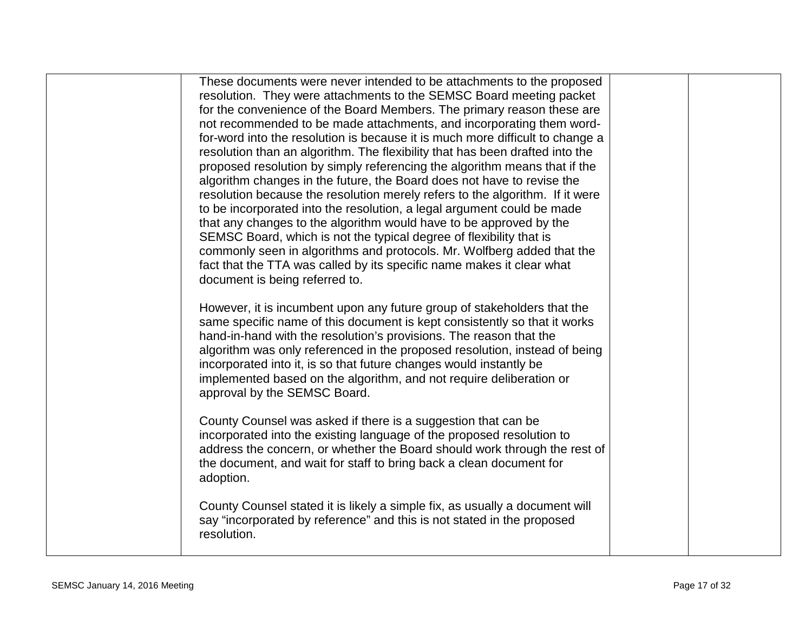| These documents were never intended to be attachments to the proposed<br>resolution. They were attachments to the SEMSC Board meeting packet<br>for the convenience of the Board Members. The primary reason these are<br>not recommended to be made attachments, and incorporating them word-<br>for-word into the resolution is because it is much more difficult to change a<br>resolution than an algorithm. The flexibility that has been drafted into the<br>proposed resolution by simply referencing the algorithm means that if the<br>algorithm changes in the future, the Board does not have to revise the<br>resolution because the resolution merely refers to the algorithm. If it were<br>to be incorporated into the resolution, a legal argument could be made<br>that any changes to the algorithm would have to be approved by the<br>SEMSC Board, which is not the typical degree of flexibility that is<br>commonly seen in algorithms and protocols. Mr. Wolfberg added that the<br>fact that the TTA was called by its specific name makes it clear what |  |
|----------------------------------------------------------------------------------------------------------------------------------------------------------------------------------------------------------------------------------------------------------------------------------------------------------------------------------------------------------------------------------------------------------------------------------------------------------------------------------------------------------------------------------------------------------------------------------------------------------------------------------------------------------------------------------------------------------------------------------------------------------------------------------------------------------------------------------------------------------------------------------------------------------------------------------------------------------------------------------------------------------------------------------------------------------------------------------|--|
| document is being referred to.<br>However, it is incumbent upon any future group of stakeholders that the<br>same specific name of this document is kept consistently so that it works<br>hand-in-hand with the resolution's provisions. The reason that the<br>algorithm was only referenced in the proposed resolution, instead of being<br>incorporated into it, is so that future changes would instantly be<br>implemented based on the algorithm, and not require deliberation or<br>approval by the SEMSC Board.                                                                                                                                                                                                                                                                                                                                                                                                                                                                                                                                                          |  |
| County Counsel was asked if there is a suggestion that can be<br>incorporated into the existing language of the proposed resolution to<br>address the concern, or whether the Board should work through the rest of<br>the document, and wait for staff to bring back a clean document for<br>adoption.<br>County Counsel stated it is likely a simple fix, as usually a document will<br>say "incorporated by reference" and this is not stated in the proposed<br>resolution.                                                                                                                                                                                                                                                                                                                                                                                                                                                                                                                                                                                                  |  |
|                                                                                                                                                                                                                                                                                                                                                                                                                                                                                                                                                                                                                                                                                                                                                                                                                                                                                                                                                                                                                                                                                  |  |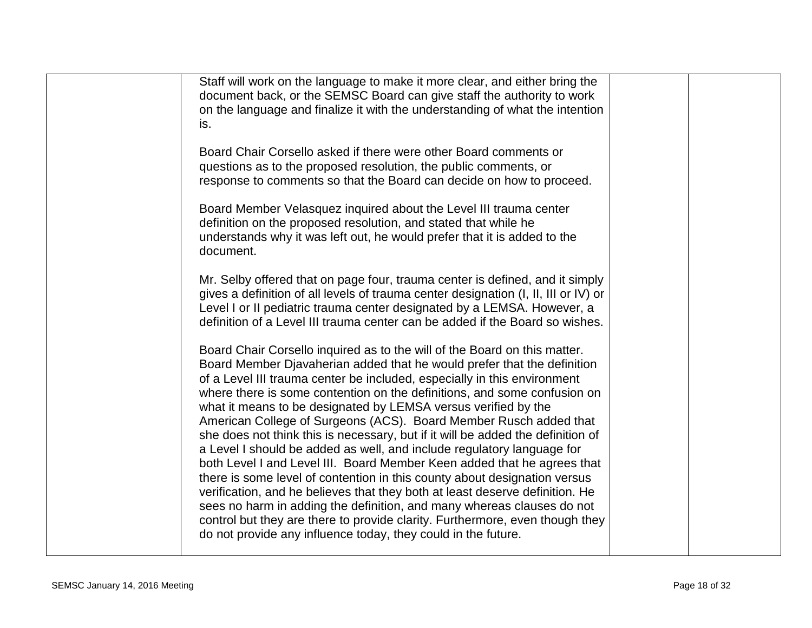| Staff will work on the language to make it more clear, and either bring the<br>document back, or the SEMSC Board can give staff the authority to work<br>on the language and finalize it with the understanding of what the intention<br>is.                                                                                                                                                                                                                                                                                                                                                                                                                                                                                                                                                                                                                                                                                                                                                                       |  |
|--------------------------------------------------------------------------------------------------------------------------------------------------------------------------------------------------------------------------------------------------------------------------------------------------------------------------------------------------------------------------------------------------------------------------------------------------------------------------------------------------------------------------------------------------------------------------------------------------------------------------------------------------------------------------------------------------------------------------------------------------------------------------------------------------------------------------------------------------------------------------------------------------------------------------------------------------------------------------------------------------------------------|--|
| Board Chair Corsello asked if there were other Board comments or<br>questions as to the proposed resolution, the public comments, or<br>response to comments so that the Board can decide on how to proceed.                                                                                                                                                                                                                                                                                                                                                                                                                                                                                                                                                                                                                                                                                                                                                                                                       |  |
| Board Member Velasquez inquired about the Level III trauma center<br>definition on the proposed resolution, and stated that while he<br>understands why it was left out, he would prefer that it is added to the<br>document.                                                                                                                                                                                                                                                                                                                                                                                                                                                                                                                                                                                                                                                                                                                                                                                      |  |
| Mr. Selby offered that on page four, trauma center is defined, and it simply<br>gives a definition of all levels of trauma center designation (I, II, III or IV) or<br>Level I or II pediatric trauma center designated by a LEMSA. However, a<br>definition of a Level III trauma center can be added if the Board so wishes.                                                                                                                                                                                                                                                                                                                                                                                                                                                                                                                                                                                                                                                                                     |  |
| Board Chair Corsello inquired as to the will of the Board on this matter.<br>Board Member Djavaherian added that he would prefer that the definition<br>of a Level III trauma center be included, especially in this environment<br>where there is some contention on the definitions, and some confusion on<br>what it means to be designated by LEMSA versus verified by the<br>American College of Surgeons (ACS). Board Member Rusch added that<br>she does not think this is necessary, but if it will be added the definition of<br>a Level I should be added as well, and include regulatory language for<br>both Level I and Level III. Board Member Keen added that he agrees that<br>there is some level of contention in this county about designation versus<br>verification, and he believes that they both at least deserve definition. He<br>sees no harm in adding the definition, and many whereas clauses do not<br>control but they are there to provide clarity. Furthermore, even though they |  |
| do not provide any influence today, they could in the future.                                                                                                                                                                                                                                                                                                                                                                                                                                                                                                                                                                                                                                                                                                                                                                                                                                                                                                                                                      |  |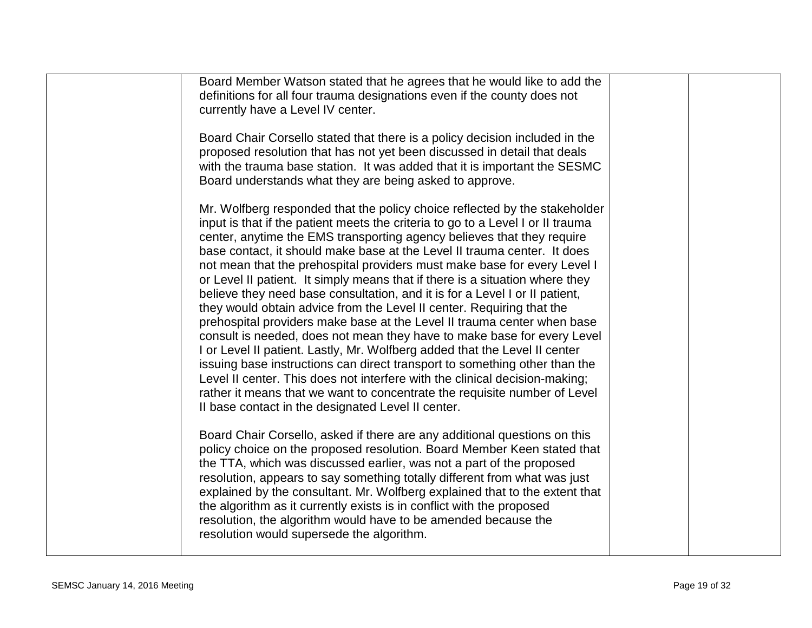| Board Member Watson stated that he agrees that he would like to add the<br>definitions for all four trauma designations even if the county does not<br>currently have a Level IV center.<br>Board Chair Corsello stated that there is a policy decision included in the<br>proposed resolution that has not yet been discussed in detail that deals<br>with the trauma base station. It was added that it is important the SESMC<br>Board understands what they are being asked to approve.                                                                                                                                                                                                                                                                                                                                                                                                                                                                                                                                                                                                                                                                                 |  |
|-----------------------------------------------------------------------------------------------------------------------------------------------------------------------------------------------------------------------------------------------------------------------------------------------------------------------------------------------------------------------------------------------------------------------------------------------------------------------------------------------------------------------------------------------------------------------------------------------------------------------------------------------------------------------------------------------------------------------------------------------------------------------------------------------------------------------------------------------------------------------------------------------------------------------------------------------------------------------------------------------------------------------------------------------------------------------------------------------------------------------------------------------------------------------------|--|
| Mr. Wolfberg responded that the policy choice reflected by the stakeholder<br>input is that if the patient meets the criteria to go to a Level I or II trauma<br>center, anytime the EMS transporting agency believes that they require<br>base contact, it should make base at the Level II trauma center. It does<br>not mean that the prehospital providers must make base for every Level I<br>or Level II patient. It simply means that if there is a situation where they<br>believe they need base consultation, and it is for a Level I or II patient,<br>they would obtain advice from the Level II center. Requiring that the<br>prehospital providers make base at the Level II trauma center when base<br>consult is needed, does not mean they have to make base for every Level<br>I or Level II patient. Lastly, Mr. Wolfberg added that the Level II center<br>issuing base instructions can direct transport to something other than the<br>Level II center. This does not interfere with the clinical decision-making;<br>rather it means that we want to concentrate the requisite number of Level<br>Il base contact in the designated Level II center. |  |
| Board Chair Corsello, asked if there are any additional questions on this<br>policy choice on the proposed resolution. Board Member Keen stated that<br>the TTA, which was discussed earlier, was not a part of the proposed<br>resolution, appears to say something totally different from what was just<br>explained by the consultant. Mr. Wolfberg explained that to the extent that<br>the algorithm as it currently exists is in conflict with the proposed<br>resolution, the algorithm would have to be amended because the<br>resolution would supersede the algorithm.                                                                                                                                                                                                                                                                                                                                                                                                                                                                                                                                                                                            |  |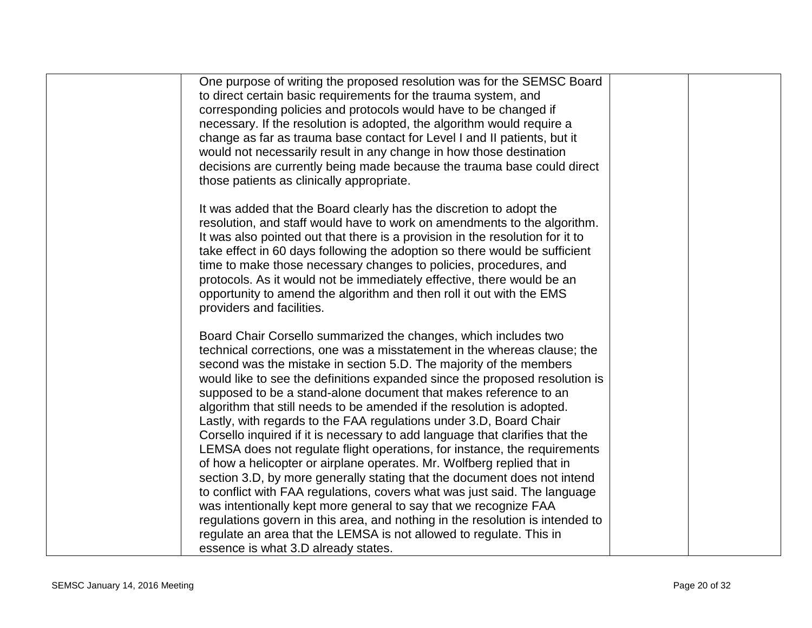| One purpose of writing the proposed resolution was for the SEMSC Board        |  |
|-------------------------------------------------------------------------------|--|
| to direct certain basic requirements for the trauma system, and               |  |
| corresponding policies and protocols would have to be changed if              |  |
| necessary. If the resolution is adopted, the algorithm would require a        |  |
| change as far as trauma base contact for Level I and II patients, but it      |  |
| would not necessarily result in any change in how those destination           |  |
| decisions are currently being made because the trauma base could direct       |  |
| those patients as clinically appropriate.                                     |  |
|                                                                               |  |
| It was added that the Board clearly has the discretion to adopt the           |  |
| resolution, and staff would have to work on amendments to the algorithm.      |  |
| It was also pointed out that there is a provision in the resolution for it to |  |
| take effect in 60 days following the adoption so there would be sufficient    |  |
| time to make those necessary changes to policies, procedures, and             |  |
| protocols. As it would not be immediately effective, there would be an        |  |
| opportunity to amend the algorithm and then roll it out with the EMS          |  |
| providers and facilities.                                                     |  |
|                                                                               |  |
| Board Chair Corsello summarized the changes, which includes two               |  |
| technical corrections, one was a misstatement in the whereas clause; the      |  |
| second was the mistake in section 5.D. The majority of the members            |  |
| would like to see the definitions expanded since the proposed resolution is   |  |
|                                                                               |  |
| supposed to be a stand-alone document that makes reference to an              |  |
| algorithm that still needs to be amended if the resolution is adopted.        |  |
| Lastly, with regards to the FAA regulations under 3.D, Board Chair            |  |
| Corsello inquired if it is necessary to add language that clarifies that the  |  |
| LEMSA does not regulate flight operations, for instance, the requirements     |  |
| of how a helicopter or airplane operates. Mr. Wolfberg replied that in        |  |
| section 3.D, by more generally stating that the document does not intend      |  |
| to conflict with FAA regulations, covers what was just said. The language     |  |
| was intentionally kept more general to say that we recognize FAA              |  |
| regulations govern in this area, and nothing in the resolution is intended to |  |
| regulate an area that the LEMSA is not allowed to regulate. This in           |  |
| essence is what 3.D already states.                                           |  |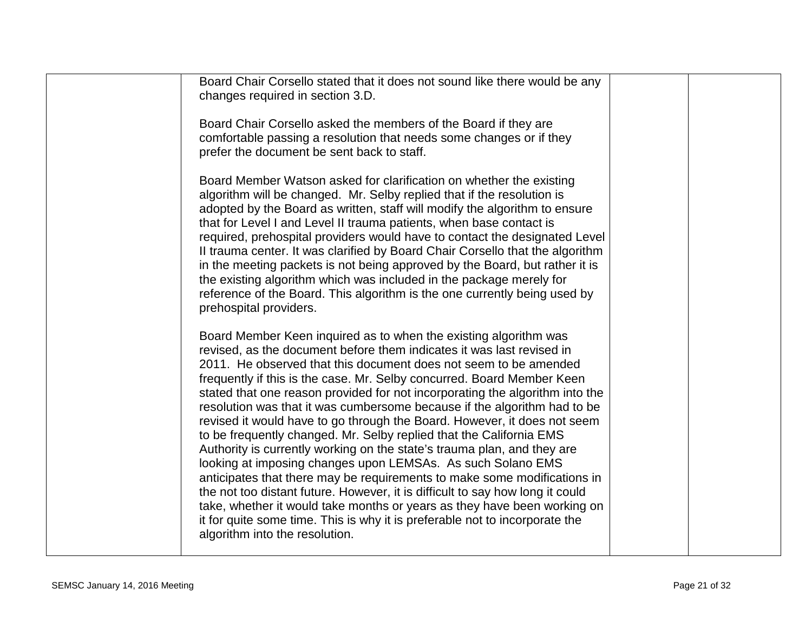| Board Chair Corsello stated that it does not sound like there would be any<br>changes required in section 3.D.                                                                                                                                                                                                                                                                                                                                                                                                                                                                                                                                                                                                                                                                                                                                                                                                                                                                                                                                                                                             |  |
|------------------------------------------------------------------------------------------------------------------------------------------------------------------------------------------------------------------------------------------------------------------------------------------------------------------------------------------------------------------------------------------------------------------------------------------------------------------------------------------------------------------------------------------------------------------------------------------------------------------------------------------------------------------------------------------------------------------------------------------------------------------------------------------------------------------------------------------------------------------------------------------------------------------------------------------------------------------------------------------------------------------------------------------------------------------------------------------------------------|--|
| Board Chair Corsello asked the members of the Board if they are<br>comfortable passing a resolution that needs some changes or if they<br>prefer the document be sent back to staff.                                                                                                                                                                                                                                                                                                                                                                                                                                                                                                                                                                                                                                                                                                                                                                                                                                                                                                                       |  |
| Board Member Watson asked for clarification on whether the existing<br>algorithm will be changed. Mr. Selby replied that if the resolution is<br>adopted by the Board as written, staff will modify the algorithm to ensure<br>that for Level I and Level II trauma patients, when base contact is<br>required, prehospital providers would have to contact the designated Level<br>II trauma center. It was clarified by Board Chair Corsello that the algorithm<br>in the meeting packets is not being approved by the Board, but rather it is<br>the existing algorithm which was included in the package merely for<br>reference of the Board. This algorithm is the one currently being used by<br>prehospital providers.                                                                                                                                                                                                                                                                                                                                                                             |  |
| Board Member Keen inquired as to when the existing algorithm was<br>revised, as the document before them indicates it was last revised in<br>2011. He observed that this document does not seem to be amended<br>frequently if this is the case. Mr. Selby concurred. Board Member Keen<br>stated that one reason provided for not incorporating the algorithm into the<br>resolution was that it was cumbersome because if the algorithm had to be<br>revised it would have to go through the Board. However, it does not seem<br>to be frequently changed. Mr. Selby replied that the California EMS<br>Authority is currently working on the state's trauma plan, and they are<br>looking at imposing changes upon LEMSAs. As such Solano EMS<br>anticipates that there may be requirements to make some modifications in<br>the not too distant future. However, it is difficult to say how long it could<br>take, whether it would take months or years as they have been working on<br>it for quite some time. This is why it is preferable not to incorporate the<br>algorithm into the resolution. |  |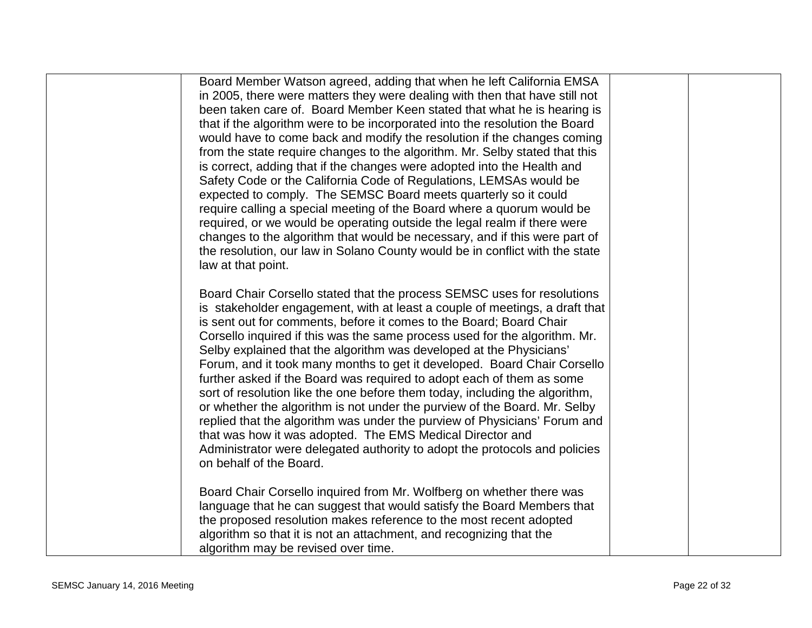| Board Member Watson agreed, adding that when he left California EMSA<br>in 2005, there were matters they were dealing with then that have still not<br>been taken care of. Board Member Keen stated that what he is hearing is<br>that if the algorithm were to be incorporated into the resolution the Board<br>would have to come back and modify the resolution if the changes coming<br>from the state require changes to the algorithm. Mr. Selby stated that this<br>is correct, adding that if the changes were adopted into the Health and<br>Safety Code or the California Code of Regulations, LEMSAs would be<br>expected to comply. The SEMSC Board meets quarterly so it could<br>require calling a special meeting of the Board where a quorum would be<br>required, or we would be operating outside the legal realm if there were<br>changes to the algorithm that would be necessary, and if this were part of<br>the resolution, our law in Solano County would be in conflict with the state<br>law at that point. |  |
|---------------------------------------------------------------------------------------------------------------------------------------------------------------------------------------------------------------------------------------------------------------------------------------------------------------------------------------------------------------------------------------------------------------------------------------------------------------------------------------------------------------------------------------------------------------------------------------------------------------------------------------------------------------------------------------------------------------------------------------------------------------------------------------------------------------------------------------------------------------------------------------------------------------------------------------------------------------------------------------------------------------------------------------|--|
| Board Chair Corsello stated that the process SEMSC uses for resolutions<br>is stakeholder engagement, with at least a couple of meetings, a draft that<br>is sent out for comments, before it comes to the Board; Board Chair<br>Corsello inquired if this was the same process used for the algorithm. Mr.<br>Selby explained that the algorithm was developed at the Physicians'<br>Forum, and it took many months to get it developed. Board Chair Corsello<br>further asked if the Board was required to adopt each of them as some<br>sort of resolution like the one before them today, including the algorithm,<br>or whether the algorithm is not under the purview of the Board. Mr. Selby<br>replied that the algorithm was under the purview of Physicians' Forum and<br>that was how it was adopted. The EMS Medical Director and<br>Administrator were delegated authority to adopt the protocols and policies<br>on behalf of the Board.                                                                                |  |
| Board Chair Corsello inquired from Mr. Wolfberg on whether there was<br>language that he can suggest that would satisfy the Board Members that<br>the proposed resolution makes reference to the most recent adopted<br>algorithm so that it is not an attachment, and recognizing that the<br>algorithm may be revised over time.                                                                                                                                                                                                                                                                                                                                                                                                                                                                                                                                                                                                                                                                                                    |  |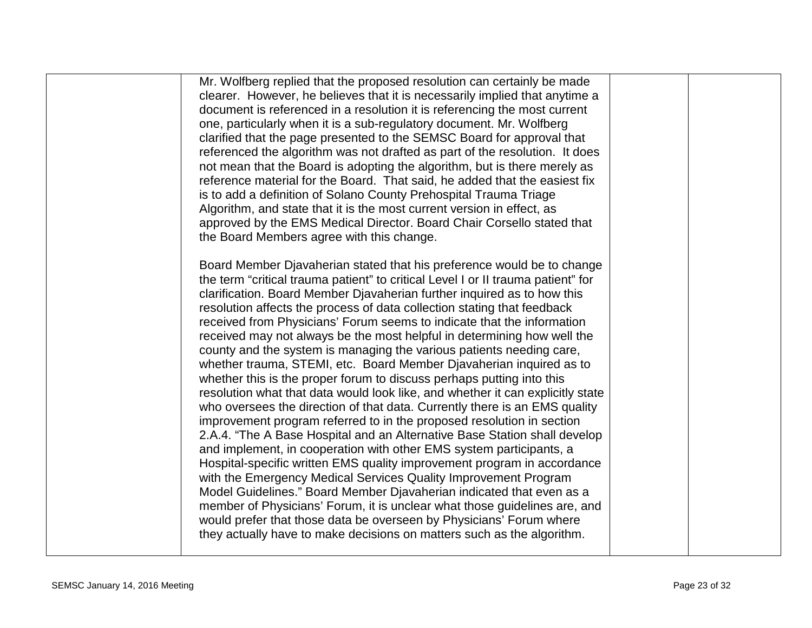| Mr. Wolfberg replied that the proposed resolution can certainly be made<br>clearer. However, he believes that it is necessarily implied that anytime a<br>document is referenced in a resolution it is referencing the most current<br>one, particularly when it is a sub-regulatory document. Mr. Wolfberg<br>clarified that the page presented to the SEMSC Board for approval that<br>referenced the algorithm was not drafted as part of the resolution. It does<br>not mean that the Board is adopting the algorithm, but is there merely as<br>reference material for the Board. That said, he added that the easiest fix<br>is to add a definition of Solano County Prehospital Trauma Triage<br>Algorithm, and state that it is the most current version in effect, as<br>approved by the EMS Medical Director. Board Chair Corsello stated that<br>the Board Members agree with this change.<br>Board Member Djavaherian stated that his preference would be to change<br>the term "critical trauma patient" to critical Level I or II trauma patient" for<br>clarification. Board Member Djavaherian further inquired as to how this<br>resolution affects the process of data collection stating that feedback<br>received from Physicians' Forum seems to indicate that the information<br>received may not always be the most helpful in determining how well the<br>county and the system is managing the various patients needing care,<br>whether trauma, STEMI, etc. Board Member Djavaherian inquired as to<br>whether this is the proper forum to discuss perhaps putting into this<br>resolution what that data would look like, and whether it can explicitly state<br>who oversees the direction of that data. Currently there is an EMS quality<br>improvement program referred to in the proposed resolution in section<br>2.A.4. "The A Base Hospital and an Alternative Base Station shall develop<br>and implement, in cooperation with other EMS system participants, a<br>Hospital-specific written EMS quality improvement program in accordance<br>with the Emergency Medical Services Quality Improvement Program<br>Model Guidelines." Board Member Djavaherian indicated that even as a<br>member of Physicians' Forum, it is unclear what those guidelines are, and<br>would prefer that those data be overseen by Physicians' Forum where<br>they actually have to make decisions on matters such as the algorithm. |  |  |
|---------------------------------------------------------------------------------------------------------------------------------------------------------------------------------------------------------------------------------------------------------------------------------------------------------------------------------------------------------------------------------------------------------------------------------------------------------------------------------------------------------------------------------------------------------------------------------------------------------------------------------------------------------------------------------------------------------------------------------------------------------------------------------------------------------------------------------------------------------------------------------------------------------------------------------------------------------------------------------------------------------------------------------------------------------------------------------------------------------------------------------------------------------------------------------------------------------------------------------------------------------------------------------------------------------------------------------------------------------------------------------------------------------------------------------------------------------------------------------------------------------------------------------------------------------------------------------------------------------------------------------------------------------------------------------------------------------------------------------------------------------------------------------------------------------------------------------------------------------------------------------------------------------------------------------------------------------------------------------------------------------------------------------------------------------------------------------------------------------------------------------------------------------------------------------------------------------------------------------------------------------------------------------------------------------------------------------------------------------------------------------------------------------------------------------------------------------|--|--|
|                                                                                                                                                                                                                                                                                                                                                                                                                                                                                                                                                                                                                                                                                                                                                                                                                                                                                                                                                                                                                                                                                                                                                                                                                                                                                                                                                                                                                                                                                                                                                                                                                                                                                                                                                                                                                                                                                                                                                                                                                                                                                                                                                                                                                                                                                                                                                                                                                                                         |  |  |
|                                                                                                                                                                                                                                                                                                                                                                                                                                                                                                                                                                                                                                                                                                                                                                                                                                                                                                                                                                                                                                                                                                                                                                                                                                                                                                                                                                                                                                                                                                                                                                                                                                                                                                                                                                                                                                                                                                                                                                                                                                                                                                                                                                                                                                                                                                                                                                                                                                                         |  |  |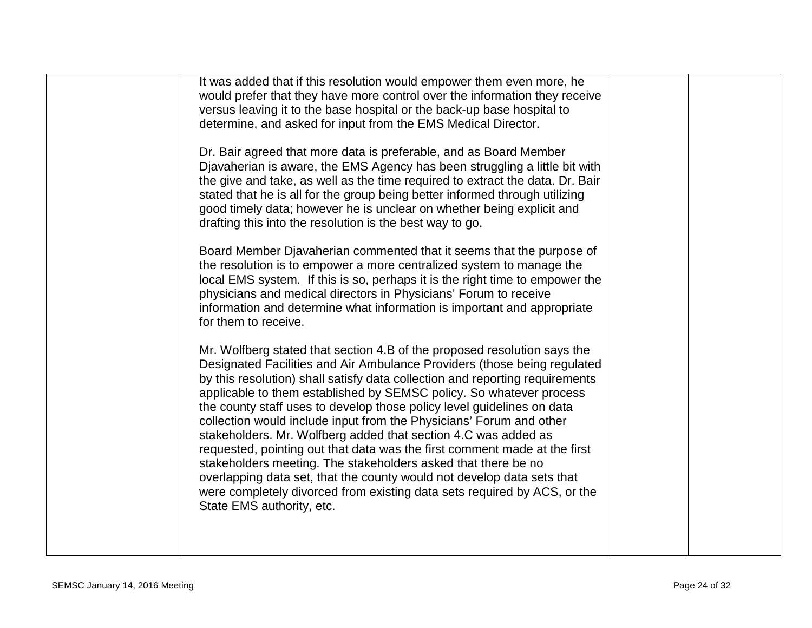| It was added that if this resolution would empower them even more, he<br>would prefer that they have more control over the information they receive<br>versus leaving it to the base hospital or the back-up base hospital to<br>determine, and asked for input from the EMS Medical Director.                                                                                                                                                                                                                                                                                                                                                                                                                                                                                                                                                                  |  |
|-----------------------------------------------------------------------------------------------------------------------------------------------------------------------------------------------------------------------------------------------------------------------------------------------------------------------------------------------------------------------------------------------------------------------------------------------------------------------------------------------------------------------------------------------------------------------------------------------------------------------------------------------------------------------------------------------------------------------------------------------------------------------------------------------------------------------------------------------------------------|--|
| Dr. Bair agreed that more data is preferable, and as Board Member<br>Djavaherian is aware, the EMS Agency has been struggling a little bit with<br>the give and take, as well as the time required to extract the data. Dr. Bair<br>stated that he is all for the group being better informed through utilizing<br>good timely data; however he is unclear on whether being explicit and<br>drafting this into the resolution is the best way to go.                                                                                                                                                                                                                                                                                                                                                                                                            |  |
| Board Member Djavaherian commented that it seems that the purpose of<br>the resolution is to empower a more centralized system to manage the<br>local EMS system. If this is so, perhaps it is the right time to empower the<br>physicians and medical directors in Physicians' Forum to receive<br>information and determine what information is important and appropriate<br>for them to receive.                                                                                                                                                                                                                                                                                                                                                                                                                                                             |  |
| Mr. Wolfberg stated that section 4.B of the proposed resolution says the<br>Designated Facilities and Air Ambulance Providers (those being regulated<br>by this resolution) shall satisfy data collection and reporting requirements<br>applicable to them established by SEMSC policy. So whatever process<br>the county staff uses to develop those policy level guidelines on data<br>collection would include input from the Physicians' Forum and other<br>stakeholders. Mr. Wolfberg added that section 4.C was added as<br>requested, pointing out that data was the first comment made at the first<br>stakeholders meeting. The stakeholders asked that there be no<br>overlapping data set, that the county would not develop data sets that<br>were completely divorced from existing data sets required by ACS, or the<br>State EMS authority, etc. |  |
|                                                                                                                                                                                                                                                                                                                                                                                                                                                                                                                                                                                                                                                                                                                                                                                                                                                                 |  |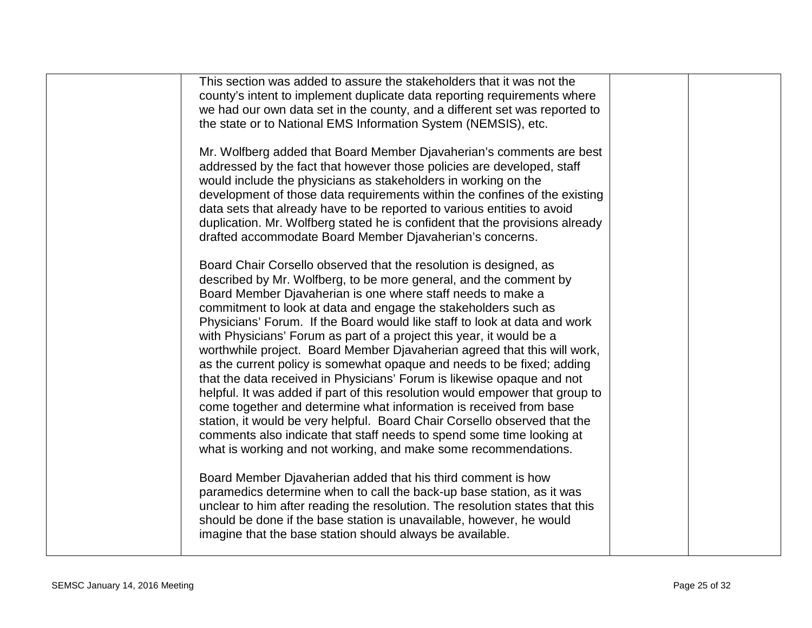| This section was added to assure the stakeholders that it was not the<br>county's intent to implement duplicate data reporting requirements where<br>we had our own data set in the county, and a different set was reported to<br>the state or to National EMS Information System (NEMSIS), etc.                                                                                                                                                                                                                                                                                                                                                                                                                                                                                                                                                                                                                                                                                                                                           |  |
|---------------------------------------------------------------------------------------------------------------------------------------------------------------------------------------------------------------------------------------------------------------------------------------------------------------------------------------------------------------------------------------------------------------------------------------------------------------------------------------------------------------------------------------------------------------------------------------------------------------------------------------------------------------------------------------------------------------------------------------------------------------------------------------------------------------------------------------------------------------------------------------------------------------------------------------------------------------------------------------------------------------------------------------------|--|
| Mr. Wolfberg added that Board Member Djavaherian's comments are best<br>addressed by the fact that however those policies are developed, staff<br>would include the physicians as stakeholders in working on the<br>development of those data requirements within the confines of the existing<br>data sets that already have to be reported to various entities to avoid<br>duplication. Mr. Wolfberg stated he is confident that the provisions already<br>drafted accommodate Board Member Djavaherian's concerns.                                                                                                                                                                                                                                                                                                                                                                                                                                                                                                                       |  |
| Board Chair Corsello observed that the resolution is designed, as<br>described by Mr. Wolfberg, to be more general, and the comment by<br>Board Member Djavaherian is one where staff needs to make a<br>commitment to look at data and engage the stakeholders such as<br>Physicians' Forum. If the Board would like staff to look at data and work<br>with Physicians' Forum as part of a project this year, it would be a<br>worthwhile project. Board Member Djavaherian agreed that this will work,<br>as the current policy is somewhat opaque and needs to be fixed; adding<br>that the data received in Physicians' Forum is likewise opaque and not<br>helpful. It was added if part of this resolution would empower that group to<br>come together and determine what information is received from base<br>station, it would be very helpful. Board Chair Corsello observed that the<br>comments also indicate that staff needs to spend some time looking at<br>what is working and not working, and make some recommendations. |  |
| Board Member Djavaherian added that his third comment is how<br>paramedics determine when to call the back-up base station, as it was<br>unclear to him after reading the resolution. The resolution states that this<br>should be done if the base station is unavailable, however, he would<br>imagine that the base station should always be available.                                                                                                                                                                                                                                                                                                                                                                                                                                                                                                                                                                                                                                                                                  |  |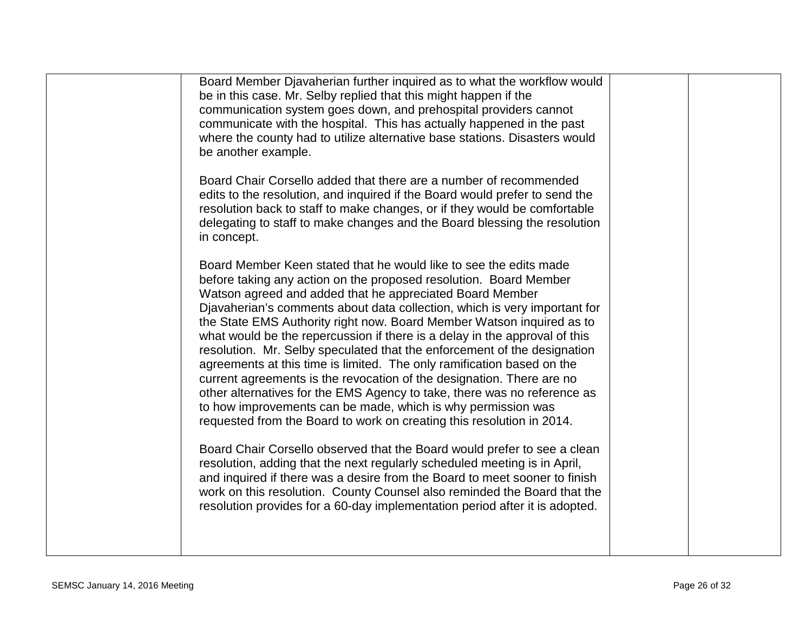| Board Member Djavaherian further inquired as to what the workflow would<br>be in this case. Mr. Selby replied that this might happen if the<br>communication system goes down, and prehospital providers cannot<br>communicate with the hospital. This has actually happened in the past<br>where the county had to utilize alternative base stations. Disasters would<br>be another example.                                                                                                                                                                                                                                                                                                                                                                                                                                                                                              |  |
|--------------------------------------------------------------------------------------------------------------------------------------------------------------------------------------------------------------------------------------------------------------------------------------------------------------------------------------------------------------------------------------------------------------------------------------------------------------------------------------------------------------------------------------------------------------------------------------------------------------------------------------------------------------------------------------------------------------------------------------------------------------------------------------------------------------------------------------------------------------------------------------------|--|
| Board Chair Corsello added that there are a number of recommended<br>edits to the resolution, and inquired if the Board would prefer to send the<br>resolution back to staff to make changes, or if they would be comfortable<br>delegating to staff to make changes and the Board blessing the resolution<br>in concept.                                                                                                                                                                                                                                                                                                                                                                                                                                                                                                                                                                  |  |
| Board Member Keen stated that he would like to see the edits made<br>before taking any action on the proposed resolution. Board Member<br>Watson agreed and added that he appreciated Board Member<br>Diavaherian's comments about data collection, which is very important for<br>the State EMS Authority right now. Board Member Watson inquired as to<br>what would be the repercussion if there is a delay in the approval of this<br>resolution. Mr. Selby speculated that the enforcement of the designation<br>agreements at this time is limited. The only ramification based on the<br>current agreements is the revocation of the designation. There are no<br>other alternatives for the EMS Agency to take, there was no reference as<br>to how improvements can be made, which is why permission was<br>requested from the Board to work on creating this resolution in 2014. |  |
| Board Chair Corsello observed that the Board would prefer to see a clean<br>resolution, adding that the next regularly scheduled meeting is in April,<br>and inquired if there was a desire from the Board to meet sooner to finish<br>work on this resolution. County Counsel also reminded the Board that the<br>resolution provides for a 60-day implementation period after it is adopted.                                                                                                                                                                                                                                                                                                                                                                                                                                                                                             |  |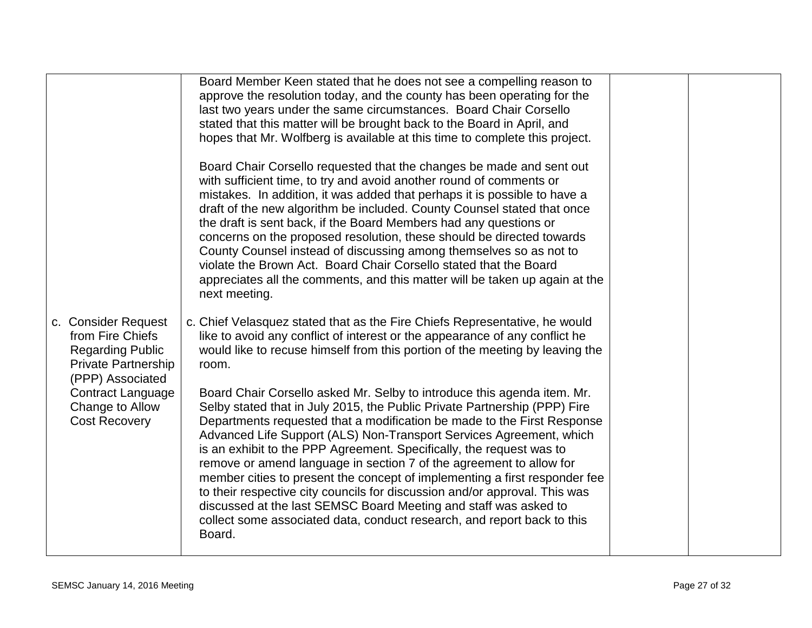| approve the resolution today, and the county has been operating for the<br>last two years under the same circumstances. Board Chair Corsello<br>stated that this matter will be brought back to the Board in April, and<br>hopes that Mr. Wolfberg is available at this time to complete this project.                                                                                                                                                                                                                                                                                                                                                                                                                                                                     |                                                                      |  |
|----------------------------------------------------------------------------------------------------------------------------------------------------------------------------------------------------------------------------------------------------------------------------------------------------------------------------------------------------------------------------------------------------------------------------------------------------------------------------------------------------------------------------------------------------------------------------------------------------------------------------------------------------------------------------------------------------------------------------------------------------------------------------|----------------------------------------------------------------------|--|
| Board Chair Corsello requested that the changes be made and sent out<br>with sufficient time, to try and avoid another round of comments or<br>mistakes. In addition, it was added that perhaps it is possible to have a<br>draft of the new algorithm be included. County Counsel stated that once<br>the draft is sent back, if the Board Members had any questions or<br>concerns on the proposed resolution, these should be directed towards<br>County Counsel instead of discussing among themselves so as not to<br>violate the Brown Act. Board Chair Corsello stated that the Board<br>appreciates all the comments, and this matter will be taken up again at the<br>next meeting.                                                                               |                                                                      |  |
| c. Chief Velasquez stated that as the Fire Chiefs Representative, he would<br>like to avoid any conflict of interest or the appearance of any conflict he<br>would like to recuse himself from this portion of the meeting by leaving the<br>room.                                                                                                                                                                                                                                                                                                                                                                                                                                                                                                                         |                                                                      |  |
| Board Chair Corsello asked Mr. Selby to introduce this agenda item. Mr.<br>Selby stated that in July 2015, the Public Private Partnership (PPP) Fire<br>Departments requested that a modification be made to the First Response<br>Advanced Life Support (ALS) Non-Transport Services Agreement, which<br>is an exhibit to the PPP Agreement. Specifically, the request was to<br>remove or amend language in section 7 of the agreement to allow for<br>member cities to present the concept of implementing a first responder fee<br>to their respective city councils for discussion and/or approval. This was<br>discussed at the last SEMSC Board Meeting and staff was asked to<br>collect some associated data, conduct research, and report back to this<br>Board. |                                                                      |  |
|                                                                                                                                                                                                                                                                                                                                                                                                                                                                                                                                                                                                                                                                                                                                                                            | Board Member Keen stated that he does not see a compelling reason to |  |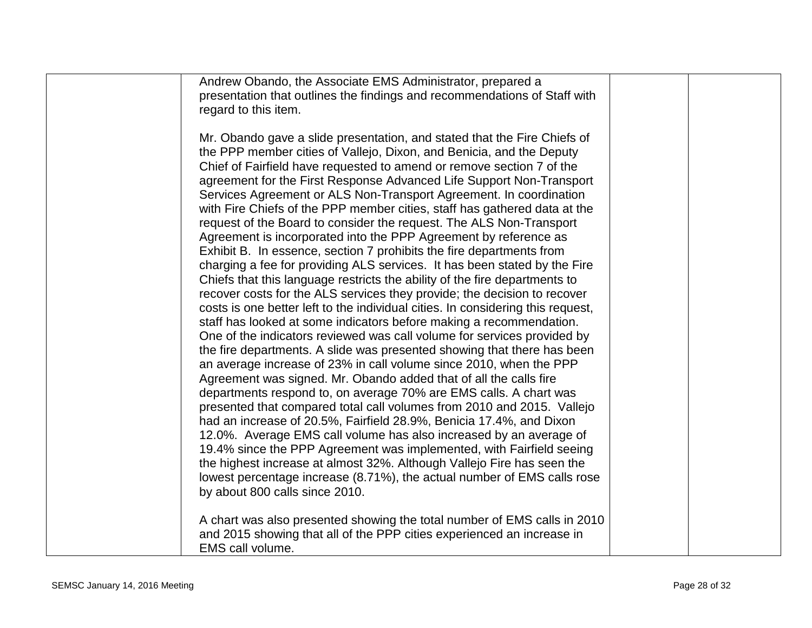| Andrew Obando, the Associate EMS Administrator, prepared a                      |  |
|---------------------------------------------------------------------------------|--|
| presentation that outlines the findings and recommendations of Staff with       |  |
|                                                                                 |  |
| regard to this item.                                                            |  |
|                                                                                 |  |
| Mr. Obando gave a slide presentation, and stated that the Fire Chiefs of        |  |
| the PPP member cities of Vallejo, Dixon, and Benicia, and the Deputy            |  |
| Chief of Fairfield have requested to amend or remove section 7 of the           |  |
| agreement for the First Response Advanced Life Support Non-Transport            |  |
|                                                                                 |  |
| Services Agreement or ALS Non-Transport Agreement. In coordination              |  |
| with Fire Chiefs of the PPP member cities, staff has gathered data at the       |  |
| request of the Board to consider the request. The ALS Non-Transport             |  |
| Agreement is incorporated into the PPP Agreement by reference as                |  |
| Exhibit B. In essence, section 7 prohibits the fire departments from            |  |
| charging a fee for providing ALS services. It has been stated by the Fire       |  |
| Chiefs that this language restricts the ability of the fire departments to      |  |
| recover costs for the ALS services they provide; the decision to recover        |  |
|                                                                                 |  |
| costs is one better left to the individual cities. In considering this request, |  |
| staff has looked at some indicators before making a recommendation.             |  |
| One of the indicators reviewed was call volume for services provided by         |  |
| the fire departments. A slide was presented showing that there has been         |  |
| an average increase of 23% in call volume since 2010, when the PPP              |  |
| Agreement was signed. Mr. Obando added that of all the calls fire               |  |
| departments respond to, on average 70% are EMS calls. A chart was               |  |
| presented that compared total call volumes from 2010 and 2015. Vallejo          |  |
|                                                                                 |  |
| had an increase of 20.5%, Fairfield 28.9%, Benicia 17.4%, and Dixon             |  |
| 12.0%. Average EMS call volume has also increased by an average of              |  |
| 19.4% since the PPP Agreement was implemented, with Fairfield seeing            |  |
| the highest increase at almost 32%. Although Vallejo Fire has seen the          |  |
| lowest percentage increase (8.71%), the actual number of EMS calls rose         |  |
| by about 800 calls since 2010.                                                  |  |
|                                                                                 |  |
| A chart was also presented showing the total number of EMS calls in 2010        |  |
|                                                                                 |  |
| and 2015 showing that all of the PPP cities experienced an increase in          |  |
| EMS call volume.                                                                |  |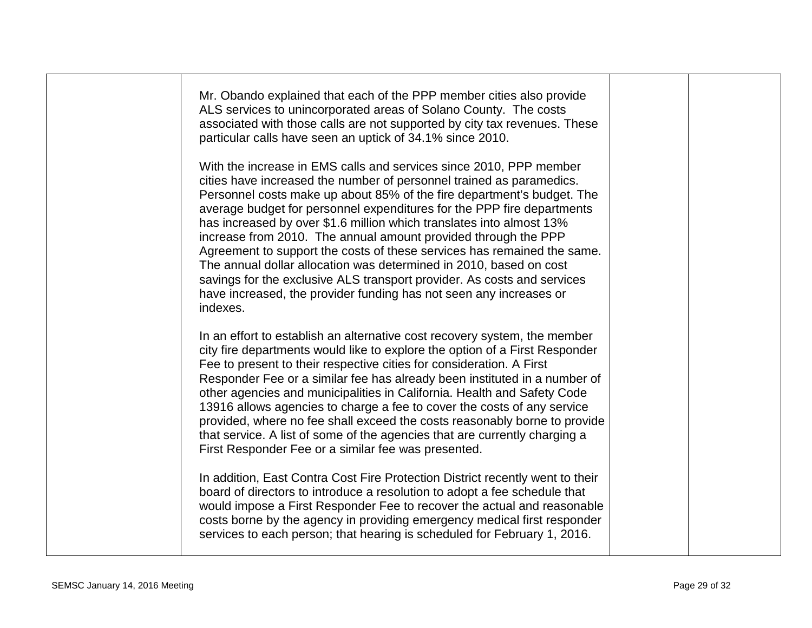| Mr. Obando explained that each of the PPP member cities also provide<br>ALS services to unincorporated areas of Solano County. The costs<br>associated with those calls are not supported by city tax revenues. These<br>particular calls have seen an uptick of 34.1% since 2010.                                                                                                                                                                                                                                                                                                                                                                                                                                                                     |  |
|--------------------------------------------------------------------------------------------------------------------------------------------------------------------------------------------------------------------------------------------------------------------------------------------------------------------------------------------------------------------------------------------------------------------------------------------------------------------------------------------------------------------------------------------------------------------------------------------------------------------------------------------------------------------------------------------------------------------------------------------------------|--|
| With the increase in EMS calls and services since 2010, PPP member<br>cities have increased the number of personnel trained as paramedics.<br>Personnel costs make up about 85% of the fire department's budget. The<br>average budget for personnel expenditures for the PPP fire departments<br>has increased by over \$1.6 million which translates into almost 13%<br>increase from 2010. The annual amount provided through the PPP<br>Agreement to support the costs of these services has remained the same.<br>The annual dollar allocation was determined in 2010, based on cost<br>savings for the exclusive ALS transport provider. As costs and services<br>have increased, the provider funding has not seen any increases or<br>indexes. |  |
| In an effort to establish an alternative cost recovery system, the member<br>city fire departments would like to explore the option of a First Responder<br>Fee to present to their respective cities for consideration. A First<br>Responder Fee or a similar fee has already been instituted in a number of<br>other agencies and municipalities in California. Health and Safety Code<br>13916 allows agencies to charge a fee to cover the costs of any service<br>provided, where no fee shall exceed the costs reasonably borne to provide<br>that service. A list of some of the agencies that are currently charging a<br>First Responder Fee or a similar fee was presented.                                                                  |  |
| In addition, East Contra Cost Fire Protection District recently went to their<br>board of directors to introduce a resolution to adopt a fee schedule that<br>would impose a First Responder Fee to recover the actual and reasonable<br>costs borne by the agency in providing emergency medical first responder<br>services to each person; that hearing is scheduled for February 1, 2016.                                                                                                                                                                                                                                                                                                                                                          |  |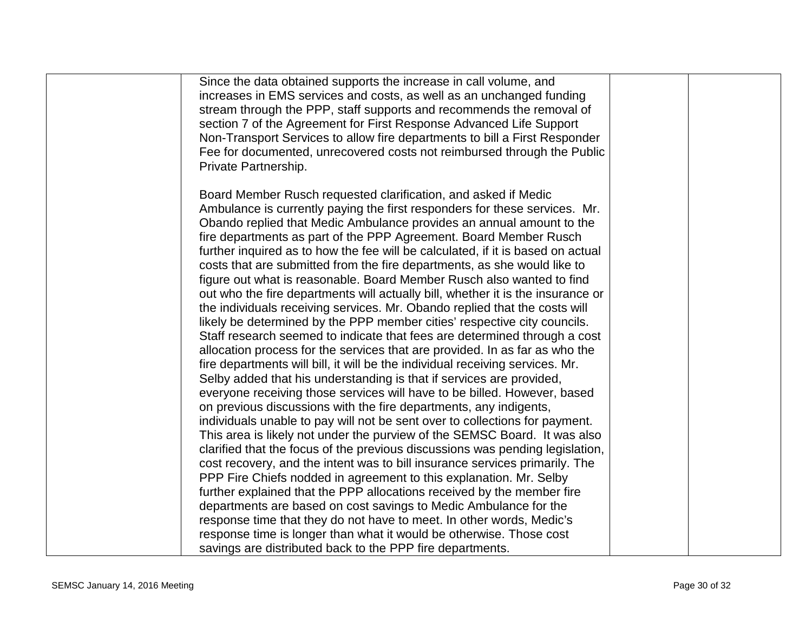| Since the data obtained supports the increase in call volume, and<br>increases in EMS services and costs, as well as an unchanged funding<br>stream through the PPP, staff supports and recommends the removal of<br>section 7 of the Agreement for First Response Advanced Life Support<br>Non-Transport Services to allow fire departments to bill a First Responder<br>Fee for documented, unrecovered costs not reimbursed through the Public<br>Private Partnership.                                                                                                                                                                                                                                                                                                                                                                                                                                                                                                                                                                                                                                                                                                                                                                                                                                                                                                                                                                                                                                                                                                                                                                              |  |
|--------------------------------------------------------------------------------------------------------------------------------------------------------------------------------------------------------------------------------------------------------------------------------------------------------------------------------------------------------------------------------------------------------------------------------------------------------------------------------------------------------------------------------------------------------------------------------------------------------------------------------------------------------------------------------------------------------------------------------------------------------------------------------------------------------------------------------------------------------------------------------------------------------------------------------------------------------------------------------------------------------------------------------------------------------------------------------------------------------------------------------------------------------------------------------------------------------------------------------------------------------------------------------------------------------------------------------------------------------------------------------------------------------------------------------------------------------------------------------------------------------------------------------------------------------------------------------------------------------------------------------------------------------|--|
| Board Member Rusch requested clarification, and asked if Medic<br>Ambulance is currently paying the first responders for these services. Mr.<br>Obando replied that Medic Ambulance provides an annual amount to the<br>fire departments as part of the PPP Agreement. Board Member Rusch<br>further inquired as to how the fee will be calculated, if it is based on actual<br>costs that are submitted from the fire departments, as she would like to<br>figure out what is reasonable. Board Member Rusch also wanted to find<br>out who the fire departments will actually bill, whether it is the insurance or<br>the individuals receiving services. Mr. Obando replied that the costs will<br>likely be determined by the PPP member cities' respective city councils.<br>Staff research seemed to indicate that fees are determined through a cost<br>allocation process for the services that are provided. In as far as who the<br>fire departments will bill, it will be the individual receiving services. Mr.<br>Selby added that his understanding is that if services are provided,<br>everyone receiving those services will have to be billed. However, based<br>on previous discussions with the fire departments, any indigents,<br>individuals unable to pay will not be sent over to collections for payment.<br>This area is likely not under the purview of the SEMSC Board. It was also<br>clarified that the focus of the previous discussions was pending legislation,<br>cost recovery, and the intent was to bill insurance services primarily. The<br>PPP Fire Chiefs nodded in agreement to this explanation. Mr. Selby |  |
| further explained that the PPP allocations received by the member fire<br>departments are based on cost savings to Medic Ambulance for the<br>response time that they do not have to meet. In other words, Medic's<br>response time is longer than what it would be otherwise. Those cost<br>savings are distributed back to the PPP fire departments.                                                                                                                                                                                                                                                                                                                                                                                                                                                                                                                                                                                                                                                                                                                                                                                                                                                                                                                                                                                                                                                                                                                                                                                                                                                                                                 |  |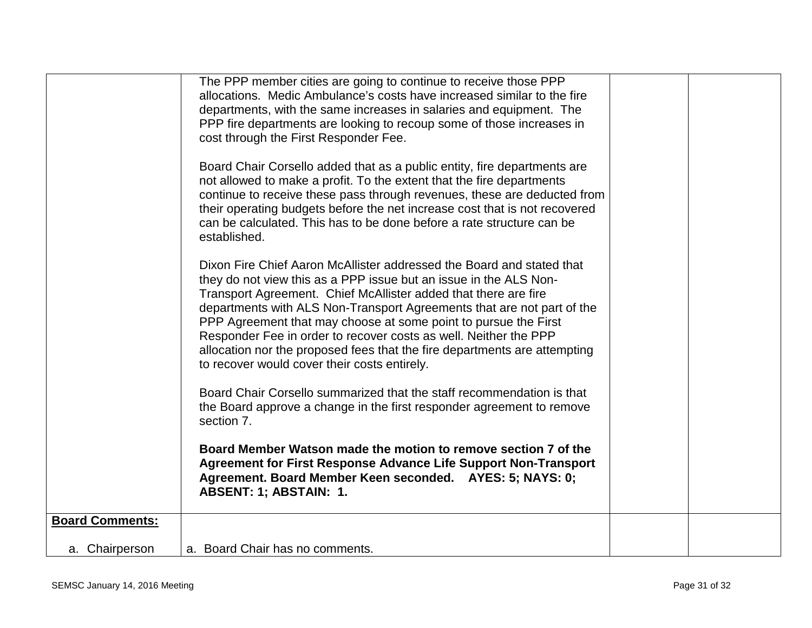|                        | The PPP member cities are going to continue to receive those PPP<br>allocations. Medic Ambulance's costs have increased similar to the fire<br>departments, with the same increases in salaries and equipment. The<br>PPP fire departments are looking to recoup some of those increases in<br>cost through the First Responder Fee.<br>Board Chair Corsello added that as a public entity, fire departments are<br>not allowed to make a profit. To the extent that the fire departments<br>continue to receive these pass through revenues, these are deducted from<br>their operating budgets before the net increase cost that is not recovered<br>can be calculated. This has to be done before a rate structure can be<br>established.<br>Dixon Fire Chief Aaron McAllister addressed the Board and stated that<br>they do not view this as a PPP issue but an issue in the ALS Non-<br>Transport Agreement. Chief McAllister added that there are fire<br>departments with ALS Non-Transport Agreements that are not part of the<br>PPP Agreement that may choose at some point to pursue the First<br>Responder Fee in order to recover costs as well. Neither the PPP<br>allocation nor the proposed fees that the fire departments are attempting<br>to recover would cover their costs entirely.<br>Board Chair Corsello summarized that the staff recommendation is that<br>the Board approve a change in the first responder agreement to remove<br>section 7.<br>Board Member Watson made the motion to remove section 7 of the<br>Agreement for First Response Advance Life Support Non-Transport<br>Agreement. Board Member Keen seconded. AYES: 5; NAYS: 0; |  |
|------------------------|------------------------------------------------------------------------------------------------------------------------------------------------------------------------------------------------------------------------------------------------------------------------------------------------------------------------------------------------------------------------------------------------------------------------------------------------------------------------------------------------------------------------------------------------------------------------------------------------------------------------------------------------------------------------------------------------------------------------------------------------------------------------------------------------------------------------------------------------------------------------------------------------------------------------------------------------------------------------------------------------------------------------------------------------------------------------------------------------------------------------------------------------------------------------------------------------------------------------------------------------------------------------------------------------------------------------------------------------------------------------------------------------------------------------------------------------------------------------------------------------------------------------------------------------------------------------------------------------------------------------------------------------------------------------------|--|
|                        | <b>ABSENT: 1; ABSTAIN: 1.</b>                                                                                                                                                                                                                                                                                                                                                                                                                                                                                                                                                                                                                                                                                                                                                                                                                                                                                                                                                                                                                                                                                                                                                                                                                                                                                                                                                                                                                                                                                                                                                                                                                                                |  |
| <b>Board Comments:</b> |                                                                                                                                                                                                                                                                                                                                                                                                                                                                                                                                                                                                                                                                                                                                                                                                                                                                                                                                                                                                                                                                                                                                                                                                                                                                                                                                                                                                                                                                                                                                                                                                                                                                              |  |
| a. Chairperson         | a. Board Chair has no comments.                                                                                                                                                                                                                                                                                                                                                                                                                                                                                                                                                                                                                                                                                                                                                                                                                                                                                                                                                                                                                                                                                                                                                                                                                                                                                                                                                                                                                                                                                                                                                                                                                                              |  |